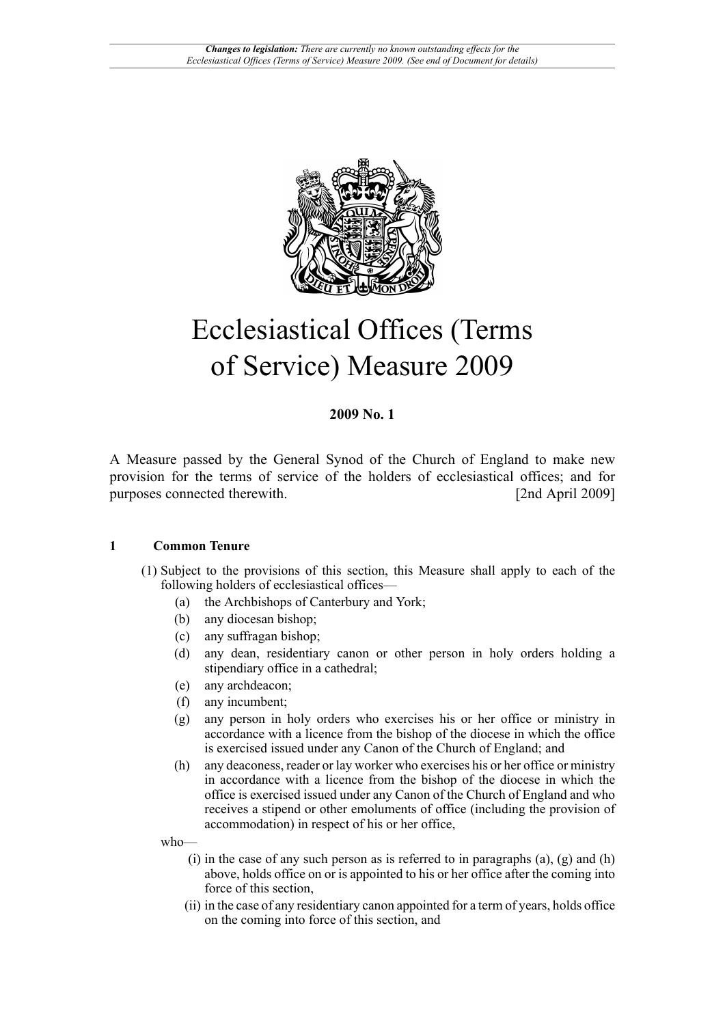

# Ecclesiastical Offices (Terms of Service) Measure 2009

### **2009 No. 1**

A Measure passed by the General Synod of the Church of England to make new provision for the terms of service of the holders of ecclesiastical offices; and for purposes connected therewith. [2nd April 2009]

### **1 Common Tenure**

- (1) Subject to the provisions of this section, this Measure shall apply to each of the following holders of ecclesiastical offices—
	- (a) the Archbishops of Canterbury and York;
	- (b) any diocesan bishop;
	- (c) any suffragan bishop;
	- (d) any dean, residentiary canon or other person in holy orders holding a stipendiary office in a cathedral;
	- (e) any archdeacon;
	- (f) any incumbent;
	- (g) any person in holy orders who exercises his or her office or ministry in accordance with a licence from the bishop of the diocese in which the office is exercised issued under any Canon of the Church of England; and
	- (h) any deaconess, reader or lay worker who exercises his or her office or ministry in accordance with a licence from the bishop of the diocese in which the office is exercised issued under any Canon of the Church of England and who receives a stipend or other emoluments of office (including the provision of accommodation) in respect of his or her office,

who—

- $(i)$  in the case of any such person as is referred to in paragraphs  $(a)$ ,  $(g)$  and  $(h)$ above, holds office on or is appointed to his or her office after the coming into force of this section,
- (ii) in the case of any residentiary canon appointed for a term of years, holds office on the coming into force of this section, and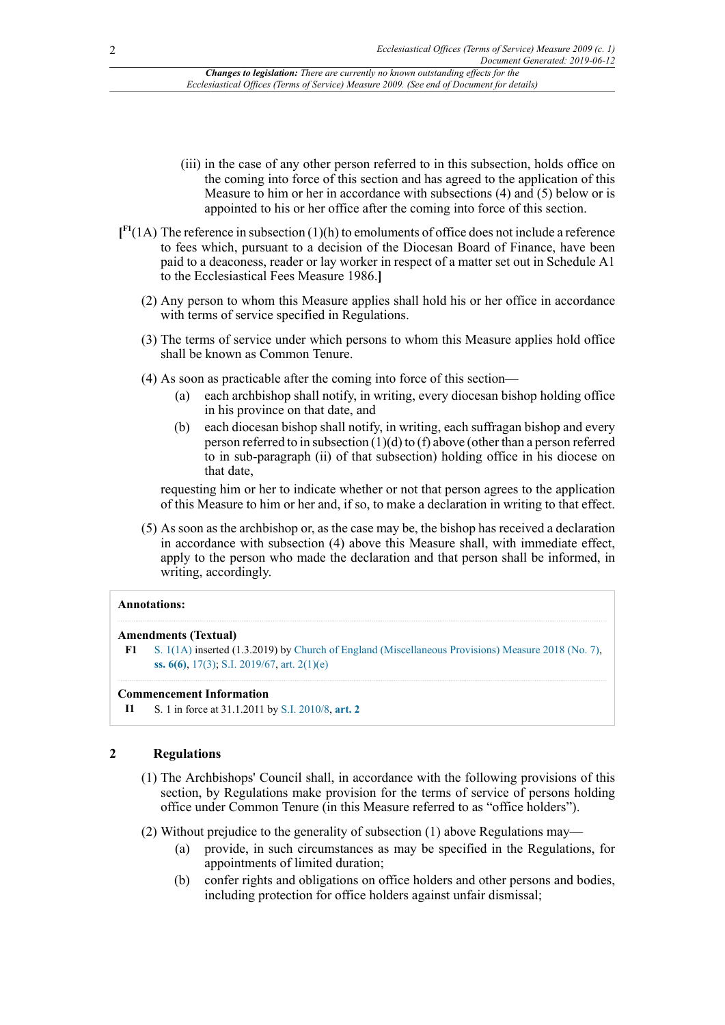- (iii) in the case of any other person referred to in this subsection, holds office on the coming into force of this section and has agreed to the application of this Measure to him or her in accordance with subsections  $(4)$  and  $(5)$  below or is appointed to his or her office after the coming into force of this section.
- <span id="page-1-1"></span>**[ [F1](#page-1-0)**(1A) The reference in subsection (1)(h) to emoluments of office does not include a reference to fees which, pursuant to a decision of the Diocesan Board of Finance, have been paid to a deaconess, reader or lay worker in respect of a matter set out in Schedule A1 to the Ecclesiastical Fees Measure 1986.**]**
	- (2) Any person to whom this Measure applies shall hold his or her office in accordance with terms of service specified in Regulations.
	- (3) The terms of service under which persons to whom this Measure applies hold office shall be known as Common Tenure.
	- (4) As soon as practicable after the coming into force of this section—
		- (a) each archbishop shall notify, in writing, every diocesan bishop holding office in his province on that date, and
		- (b) each diocesan bishop shall notify, in writing, each suffragan bishop and every person referred to in subsection (1)(d) to (f) above (other than a person referred to in sub-paragraph (ii) of that subsection) holding office in his diocese on that date,

requesting him or her to indicate whether or not that person agrees to the application of this Measure to him or her and, if so, to make a declaration in writing to that effect.

(5) As soon as the archbishop or, as the case may be, the bishop has received a declaration in accordance with subsection (4) above this Measure shall, with immediate effect, apply to the person who made the declaration and that person shall be informed, in writing, accordingly.

#### **Annotations:**

#### **Amendments (Textual)**

<span id="page-1-0"></span>**[F1](#page-1-1)** [S. 1\(1A\)](http://www.legislation.gov.uk/id/ukcm/2009/1/section/1/1A) inserted (1.3.2019) by [Church of England \(Miscellaneous Provisions\) Measure 2018 \(No. 7\)](http://www.legislation.gov.uk/id/ukcm/2018/7), **[ss. 6\(6\)](http://www.legislation.gov.uk/id/ukcm/2018/7/section/6/6)**, [17\(3\)](http://www.legislation.gov.uk/id/ukcm/2018/7/section/17/3); [S.I. 2019/67](http://www.legislation.gov.uk/id/uksi/2019/67), [art. 2\(1\)\(e\)](http://www.legislation.gov.uk/id/uksi/2019/67/article/2/1/e)

#### **Commencement Information**

**I1** S. 1 in force at 31.1.2011 by [S.I. 2010/8,](http://www.legislation.gov.uk/id/ukci/2010/8) **[art. 2](http://www.legislation.gov.uk/id/ukci/2010/8/article/2)**

#### **2 Regulations**

- (1) The Archbishops' Council shall, in accordance with the following provisions of this section, by Regulations make provision for the terms of service of persons holding office under Common Tenure (in this Measure referred to as "office holders").
- (2) Without prejudice to the generality of subsection (1) above Regulations may—
	- (a) provide, in such circumstances as may be specified in the Regulations, for appointments of limited duration;
	- (b) confer rights and obligations on office holders and other persons and bodies, including protection for office holders against unfair dismissal;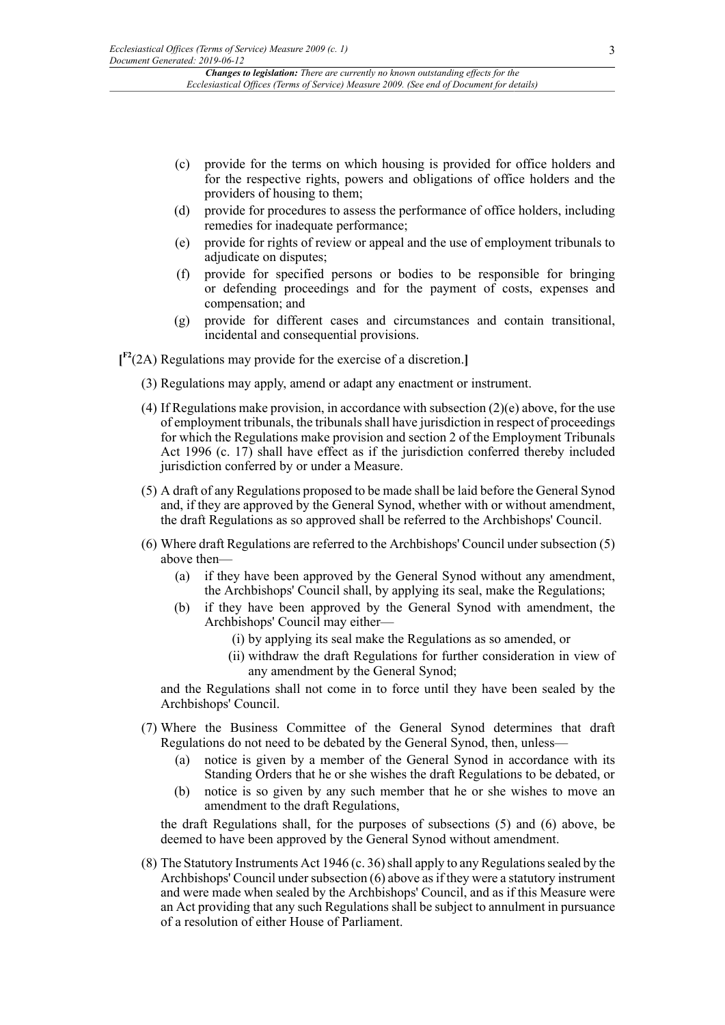- (c) provide for the terms on which housing is provided for office holders and for the respective rights, powers and obligations of office holders and the providers of housing to them;
- (d) provide for procedures to assess the performance of office holders, including remedies for inadequate performance;
- (e) provide for rights of review or appeal and the use of employment tribunals to adjudicate on disputes;
- (f) provide for specified persons or bodies to be responsible for bringing or defending proceedings and for the payment of costs, expenses and compensation; and
- (g) provide for different cases and circumstances and contain transitional, incidental and consequential provisions.

<span id="page-2-0"></span>**[ [F2](#page-3-0)**(2A) Regulations may provide for the exercise of a discretion.**]**

- (3) Regulations may apply, amend or adapt any enactment or instrument.
- (4) If Regulations make provision, in accordance with subsection  $(2)(e)$  above, for the use of employment tribunals, the tribunals shall have jurisdiction in respect of proceedings for which the Regulations make provision and section 2 of the Employment Tribunals Act 1996 (c. 17) shall have effect as if the jurisdiction conferred thereby included jurisdiction conferred by or under a Measure.
- (5) A draft of any Regulations proposed to be made shall be laid before the General Synod and, if they are approved by the General Synod, whether with or without amendment, the draft Regulations as so approved shall be referred to the Archbishops' Council.
- (6) Where draft Regulations are referred to the Archbishops' Council under subsection (5) above then—
	- (a) if they have been approved by the General Synod without any amendment, the Archbishops' Council shall, by applying its seal, make the Regulations;
	- (b) if they have been approved by the General Synod with amendment, the Archbishops' Council may either—
		- (i) by applying its seal make the Regulations as so amended, or
		- (ii) withdraw the draft Regulations for further consideration in view of any amendment by the General Synod;

and the Regulations shall not come in to force until they have been sealed by the Archbishops' Council.

- (7) Where the Business Committee of the General Synod determines that draft Regulations do not need to be debated by the General Synod, then, unless—
	- (a) notice is given by a member of the General Synod in accordance with its Standing Orders that he or she wishes the draft Regulations to be debated, or
	- (b) notice is so given by any such member that he or she wishes to move an amendment to the draft Regulations,

the draft Regulations shall, for the purposes of subsections (5) and (6) above, be deemed to have been approved by the General Synod without amendment.

(8) The Statutory Instruments Act 1946 (c. 36) shall apply to any Regulations sealed by the Archbishops' Council under subsection (6) above as if they were a statutory instrument and were made when sealed by the Archbishops' Council, and as if this Measure were an Act providing that any such Regulations shall be subject to annulment in pursuance of a resolution of either House of Parliament.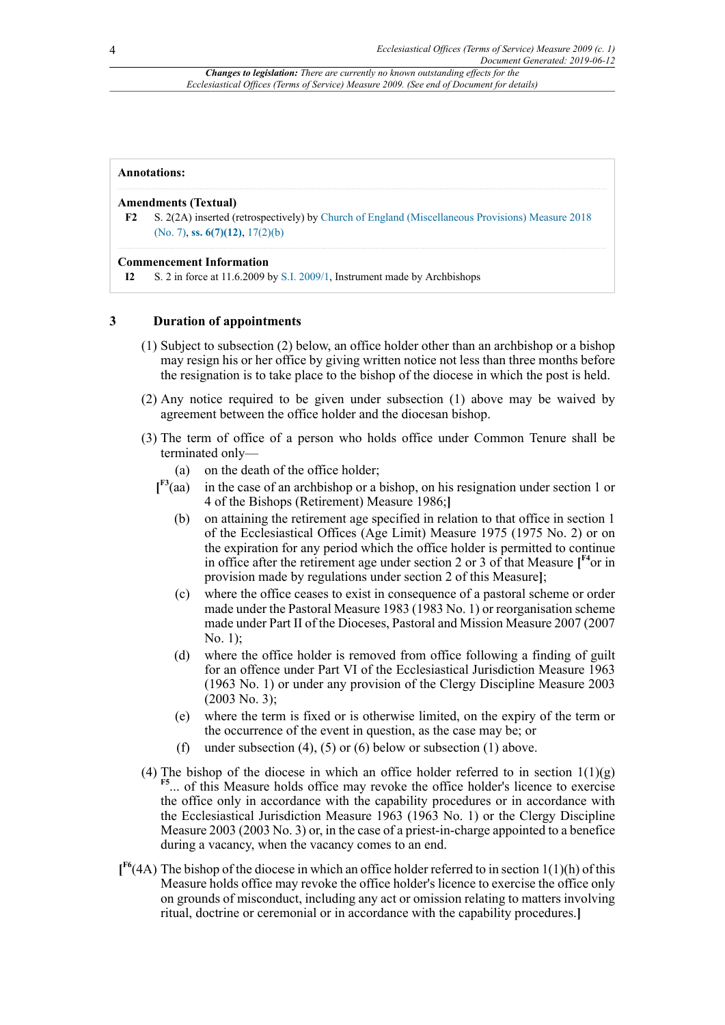#### **Annotations:**

#### **Amendments (Textual)**

<span id="page-3-0"></span>**[F2](#page-2-0)** S. 2(2A) inserted (retrospectively) by [Church of England \(Miscellaneous Provisions\) Measure 2018](http://www.legislation.gov.uk/id/ukcm/2018/7) [\(No. 7\),](http://www.legislation.gov.uk/id/ukcm/2018/7) **[ss. 6\(7\)\(12\)](http://www.legislation.gov.uk/id/ukcm/2018/7/section/6/7/12)**, [17\(2\)\(b\)](http://www.legislation.gov.uk/id/ukcm/2018/7/section/17/2/b)

#### **Commencement Information**

**I2** S. 2 in force at 11.6.2009 by [S.I. 2009/1,](http://www.legislation.gov.uk/id/ukci/2009/1) Instrument made by Archbishops

#### **3 Duration of appointments**

- (1) Subject to subsection (2) below, an office holder other than an archbishop or a bishop may resign his or her office by giving written notice not less than three months before the resignation is to take place to the bishop of the diocese in which the post is held.
- (2) Any notice required to be given under subsection (1) above may be waived by agreement between the office holder and the diocesan bishop.
- <span id="page-3-2"></span><span id="page-3-1"></span>(3) The term of office of a person who holds office under Common Tenure shall be terminated only—
	- (a) on the death of the office holder;
	- $I^{F3}(aa)$ in the case of an archbishop or a bishop, on his resignation under section 1 or 4 of the Bishops (Retirement) Measure 1986;**]**
		- (b) on attaining the retirement age specified in relation to that office in section 1 of the Ecclesiastical Offices (Age Limit) Measure 1975 (1975 No. 2) or on the expiration for any period which the office holder is permitted to continue in office after the retirement age under section 2 or 3 of that Measure [<sup>[F4](#page-4-1)</sup>or in provision made by regulations under section 2 of this Measure**]**;
		- (c) where the office ceases to exist in consequence of a pastoral scheme or order made under the Pastoral Measure 1983 (1983 No. 1) or reorganisation scheme made under Part II of the Dioceses, Pastoral and Mission Measure 2007 (2007 No. 1);
		- (d) where the office holder is removed from office following a finding of guilt for an offence under Part VI of the Ecclesiastical Jurisdiction Measure 1963 (1963 No. 1) or under any provision of the Clergy Discipline Measure 2003  $(2003 \text{ No. } 3);$
		- (e) where the term is fixed or is otherwise limited, on the expiry of the term or the occurrence of the event in question, as the case may be; or
		- (f) under subsection (4), (5) or (6) below or subsection (1) above.
- <span id="page-3-3"></span>(4) The bishop of the diocese in which an office holder referred to in section  $1(1)(g)$ **[F5](#page-4-2)** ... of this Measure holds office may revoke the office holder's licence to exercise the office only in accordance with the capability procedures or in accordance with the Ecclesiastical Jurisdiction Measure 1963 (1963 No. 1) or the Clergy Discipline Measure 2003 (2003 No. 3) or, in the case of a priest-in-charge appointed to a benefice during a vacancy, when the vacancy comes to an end.
- <span id="page-3-4"></span>**[ [F6](#page-4-3)**(4A) The bishop of the diocese in which an office holder referred to in section 1(1)(h) of this Measure holds office may revoke the office holder's licence to exercise the office only on grounds of misconduct, including any act or omission relating to matters involving ritual, doctrine or ceremonial or in accordance with the capability procedures.**]**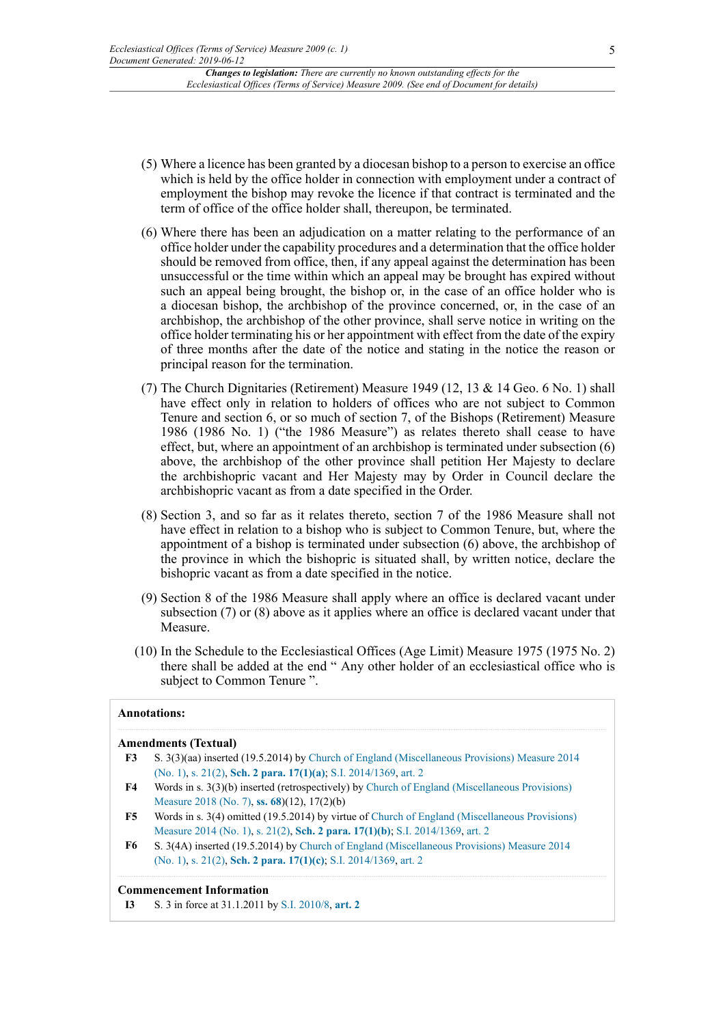- (5) Where a licence has been granted by a diocesan bishop to a person to exercise an office which is held by the office holder in connection with employment under a contract of employment the bishop may revoke the licence if that contract is terminated and the term of office of the office holder shall, thereupon, be terminated.
- (6) Where there has been an adjudication on a matter relating to the performance of an office holder under the capability procedures and a determination that the office holder should be removed from office, then, if any appeal against the determination has been unsuccessful or the time within which an appeal may be brought has expired without such an appeal being brought, the bishop or, in the case of an office holder who is a diocesan bishop, the archbishop of the province concerned, or, in the case of an archbishop, the archbishop of the other province, shall serve notice in writing on the office holder terminating his or her appointment with effect from the date of the expiry of three months after the date of the notice and stating in the notice the reason or principal reason for the termination.
- (7) The Church Dignitaries (Retirement) Measure 1949 (12, 13 & 14 Geo. 6 No. 1) shall have effect only in relation to holders of offices who are not subject to Common Tenure and section 6, or so much of section 7, of the Bishops (Retirement) Measure 1986 (1986 No. 1) ("the 1986 Measure") as relates thereto shall cease to have effect, but, where an appointment of an archbishop is terminated under subsection (6) above, the archbishop of the other province shall petition Her Majesty to declare the archbishopric vacant and Her Majesty may by Order in Council declare the archbishopric vacant as from a date specified in the Order.
- (8) Section 3, and so far as it relates thereto, section 7 of the 1986 Measure shall not have effect in relation to a bishop who is subject to Common Tenure, but, where the appointment of a bishop is terminated under subsection (6) above, the archbishop of the province in which the bishopric is situated shall, by written notice, declare the bishopric vacant as from a date specified in the notice.
- (9) Section 8 of the 1986 Measure shall apply where an office is declared vacant under subsection (7) or (8) above as it applies where an office is declared vacant under that Measure.
- (10) In the Schedule to the Ecclesiastical Offices (Age Limit) Measure 1975 (1975 No. 2) there shall be added at the end " Any other holder of an ecclesiastical office who is subject to Common Tenure ".

#### **Annotations:**

#### **Amendments (Textual)**

- <span id="page-4-0"></span>**[F3](#page-3-1)** S. 3(3)(aa) inserted (19.5.2014) by [Church of England \(Miscellaneous Provisions\) Measure 2014](http://www.legislation.gov.uk/id/ukcm/2014/1) [\(No. 1\),](http://www.legislation.gov.uk/id/ukcm/2014/1) [s. 21\(2\),](http://www.legislation.gov.uk/id/ukcm/2014/1/section/21/2) **[Sch. 2 para. 17\(1\)\(a\)](http://www.legislation.gov.uk/id/ukcm/2014/1/schedule/2/paragraph/17/1/a)**; [S.I. 2014/1369,](http://www.legislation.gov.uk/id/uksi/2014/1369) [art. 2](http://www.legislation.gov.uk/id/uksi/2014/1369/article/2)
- <span id="page-4-1"></span>**[F4](#page-3-2)** Words in s. 3(3)(b) inserted (retrospectively) by [Church of England \(Miscellaneous Provisions\)](http://www.legislation.gov.uk/id/ukcm/2018/7) [Measure 2018 \(No. 7\)](http://www.legislation.gov.uk/id/ukcm/2018/7), **[ss. 68](http://www.legislation.gov.uk/id/ukcm/2018/7/section/68)**)(12), 17(2)(b)
- <span id="page-4-2"></span>**[F5](#page-3-3)** Words in s. 3(4) omitted (19.5.2014) by virtue of [Church of England \(Miscellaneous Provisions\)](http://www.legislation.gov.uk/id/ukcm/2014/1) [Measure 2014 \(No. 1\)](http://www.legislation.gov.uk/id/ukcm/2014/1), [s. 21\(2\)](http://www.legislation.gov.uk/id/ukcm/2014/1/section/21/2), **[Sch. 2 para. 17\(1\)\(b\)](http://www.legislation.gov.uk/id/ukcm/2014/1/schedule/2/paragraph/17/1/b)**; [S.I. 2014/1369,](http://www.legislation.gov.uk/id/uksi/2014/1369) [art. 2](http://www.legislation.gov.uk/id/uksi/2014/1369/article/2)
- <span id="page-4-3"></span>**[F6](#page-3-4)** S. 3(4A) inserted (19.5.2014) by [Church of England \(Miscellaneous Provisions\) Measure 2014](http://www.legislation.gov.uk/id/ukcm/2014/1) [\(No. 1\),](http://www.legislation.gov.uk/id/ukcm/2014/1) [s. 21\(2\),](http://www.legislation.gov.uk/id/ukcm/2014/1/section/21/2) **[Sch. 2 para. 17\(1\)\(c\)](http://www.legislation.gov.uk/id/ukcm/2014/1/schedule/2/paragraph/17/1/c)**; [S.I. 2014/1369](http://www.legislation.gov.uk/id/uksi/2014/1369), [art. 2](http://www.legislation.gov.uk/id/uksi/2014/1369/article/2)

#### **Commencement Information**

**I3** S. 3 in force at 31.1.2011 by [S.I. 2010/8,](http://www.legislation.gov.uk/id/ukci/2010/8) **[art. 2](http://www.legislation.gov.uk/id/ukci/2010/8/article/2)**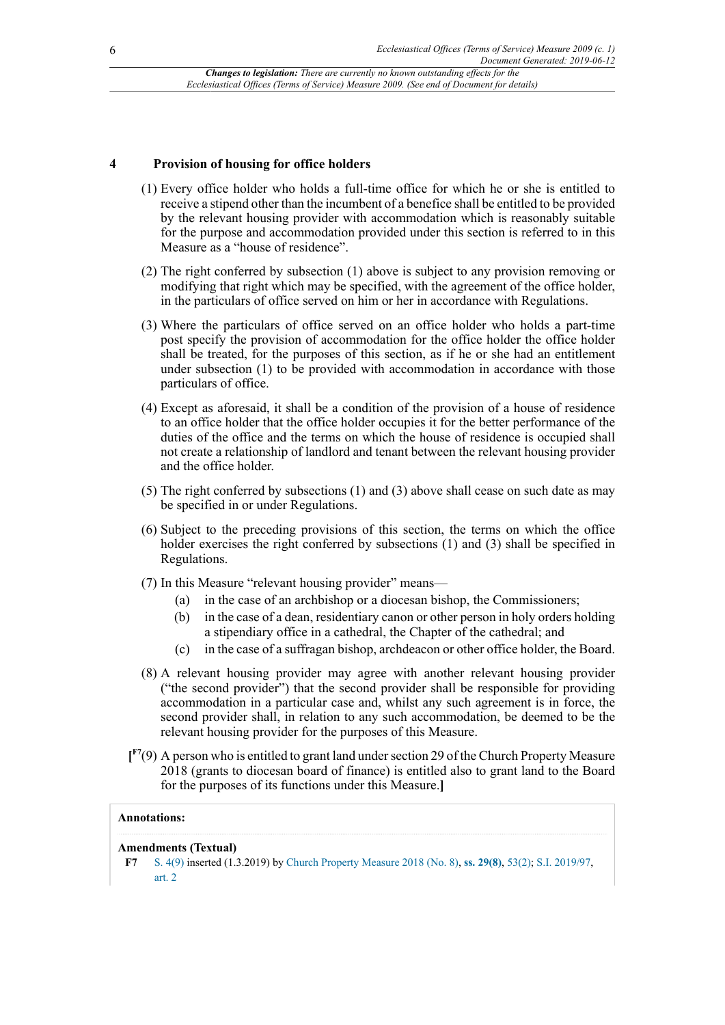#### **4 Provision of housing for office holders**

- (1) Every office holder who holds a full-time office for which he or she is entitled to receive a stipend other than the incumbent of a benefice shall be entitled to be provided by the relevant housing provider with accommodation which is reasonably suitable for the purpose and accommodation provided under this section is referred to in this Measure as a "house of residence".
- (2) The right conferred by subsection (1) above is subject to any provision removing or modifying that right which may be specified, with the agreement of the office holder, in the particulars of office served on him or her in accordance with Regulations.
- (3) Where the particulars of office served on an office holder who holds a part-time post specify the provision of accommodation for the office holder the office holder shall be treated, for the purposes of this section, as if he or she had an entitlement under subsection (1) to be provided with accommodation in accordance with those particulars of office.
- (4) Except as aforesaid, it shall be a condition of the provision of a house of residence to an office holder that the office holder occupies it for the better performance of the duties of the office and the terms on which the house of residence is occupied shall not create a relationship of landlord and tenant between the relevant housing provider and the office holder.
- (5) The right conferred by subsections (1) and (3) above shall cease on such date as may be specified in or under Regulations.
- (6) Subject to the preceding provisions of this section, the terms on which the office holder exercises the right conferred by subsections (1) and (3) shall be specified in Regulations.
- (7) In this Measure "relevant housing provider" means—
	- (a) in the case of an archbishop or a diocesan bishop, the Commissioners;
	- (b) in the case of a dean, residentiary canon or other person in holy orders holding a stipendiary office in a cathedral, the Chapter of the cathedral; and
	- (c) in the case of a suffragan bishop, archdeacon or other office holder, the Board.
- (8) A relevant housing provider may agree with another relevant housing provider ("the second provider") that the second provider shall be responsible for providing accommodation in a particular case and, whilst any such agreement is in force, the second provider shall, in relation to any such accommodation, be deemed to be the relevant housing provider for the purposes of this Measure.
- <span id="page-5-1"></span>**[ [F7](#page-5-0)**(9) A person who is entitled to grant land under section 29 of the Church Property Measure 2018 (grants to diocesan board of finance) is entitled also to grant land to the Board for the purposes of its functions under this Measure.**]**

#### **Annotations:**

#### **Amendments (Textual)**

<span id="page-5-0"></span>**[F7](#page-5-1)** [S. 4\(9\)](http://www.legislation.gov.uk/id/ukcm/2009/1/section/4/9) inserted (1.3.2019) by [Church Property Measure 2018 \(No. 8\),](http://www.legislation.gov.uk/id/ukcm/2018/8) **[ss. 29\(8\)](http://www.legislation.gov.uk/id/ukcm/2018/8/section/29/8)**, [53\(2\)](http://www.legislation.gov.uk/id/ukcm/2018/8/section/53/2); [S.I. 2019/97](http://www.legislation.gov.uk/id/uksi/2019/97), [art. 2](http://www.legislation.gov.uk/id/uksi/2019/97/article/2)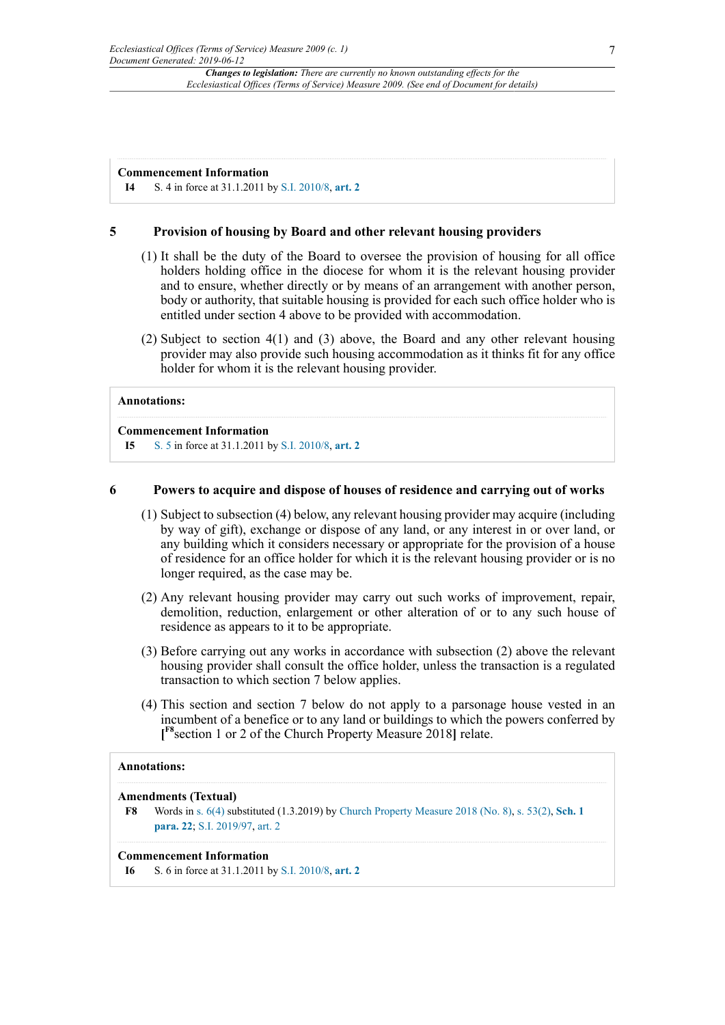#### **Commencement Information**

**I4** S. 4 in force at 31.1.2011 by [S.I. 2010/8,](http://www.legislation.gov.uk/id/ukci/2010/8) **[art. 2](http://www.legislation.gov.uk/id/ukci/2010/8/article/2)**

#### **5 Provision of housing by Board and other relevant housing providers**

- (1) It shall be the duty of the Board to oversee the provision of housing for all office holders holding office in the diocese for whom it is the relevant housing provider and to ensure, whether directly or by means of an arrangement with another person, body or authority, that suitable housing is provided for each such office holder who is entitled under section 4 above to be provided with accommodation.
- (2) Subject to section 4(1) and (3) above, the Board and any other relevant housing provider may also provide such housing accommodation as it thinks fit for any office holder for whom it is the relevant housing provider.

#### **Annotations:**

#### **Commencement Information**

**I5** [S. 5](http://www.legislation.gov.uk/id/ukcm/2009/1/section/5) in force at 31.1.2011 by [S.I. 2010/8,](http://www.legislation.gov.uk/id/ukci/2010/8) **[art. 2](http://www.legislation.gov.uk/id/ukci/2010/8/article/2)**

#### **6 Powers to acquire and dispose of houses of residence and carrying out of works**

- (1) Subject to subsection (4) below, any relevant housing provider may acquire (including by way of gift), exchange or dispose of any land, or any interest in or over land, or any building which it considers necessary or appropriate for the provision of a house of residence for an office holder for which it is the relevant housing provider or is no longer required, as the case may be.
- (2) Any relevant housing provider may carry out such works of improvement, repair, demolition, reduction, enlargement or other alteration of or to any such house of residence as appears to it to be appropriate.
- (3) Before carrying out any works in accordance with subsection (2) above the relevant housing provider shall consult the office holder, unless the transaction is a regulated transaction to which section 7 below applies.
- <span id="page-6-1"></span>(4) This section and section 7 below do not apply to a parsonage house vested in an incumbent of a benefice or to any land or buildings to which the powers conferred by **[ [F8](#page-6-0)**section 1 or 2 of the Church Property Measure 2018**]** relate.

#### **Annotations:**

#### <span id="page-6-0"></span>**Amendments (Textual)**

**[F8](#page-6-1)** Words in [s. 6\(4\)](http://www.legislation.gov.uk/id/ukcm/2009/1/section/6/4) substituted (1.3.2019) by [Church Property Measure 2018 \(No. 8\)](http://www.legislation.gov.uk/id/ukcm/2018/8), [s. 53\(2\)](http://www.legislation.gov.uk/id/ukcm/2018/8/section/53/2), **[Sch. 1](http://www.legislation.gov.uk/id/ukcm/2018/8/schedule/1/paragraph/22) [para. 22](http://www.legislation.gov.uk/id/ukcm/2018/8/schedule/1/paragraph/22)**; [S.I. 2019/97](http://www.legislation.gov.uk/id/uksi/2019/97), [art. 2](http://www.legislation.gov.uk/id/uksi/2019/97/article/2)

#### **Commencement Information**

**I6** S. 6 in force at 31.1.2011 by [S.I. 2010/8,](http://www.legislation.gov.uk/id/ukci/2010/8) **[art. 2](http://www.legislation.gov.uk/id/ukci/2010/8/article/2)**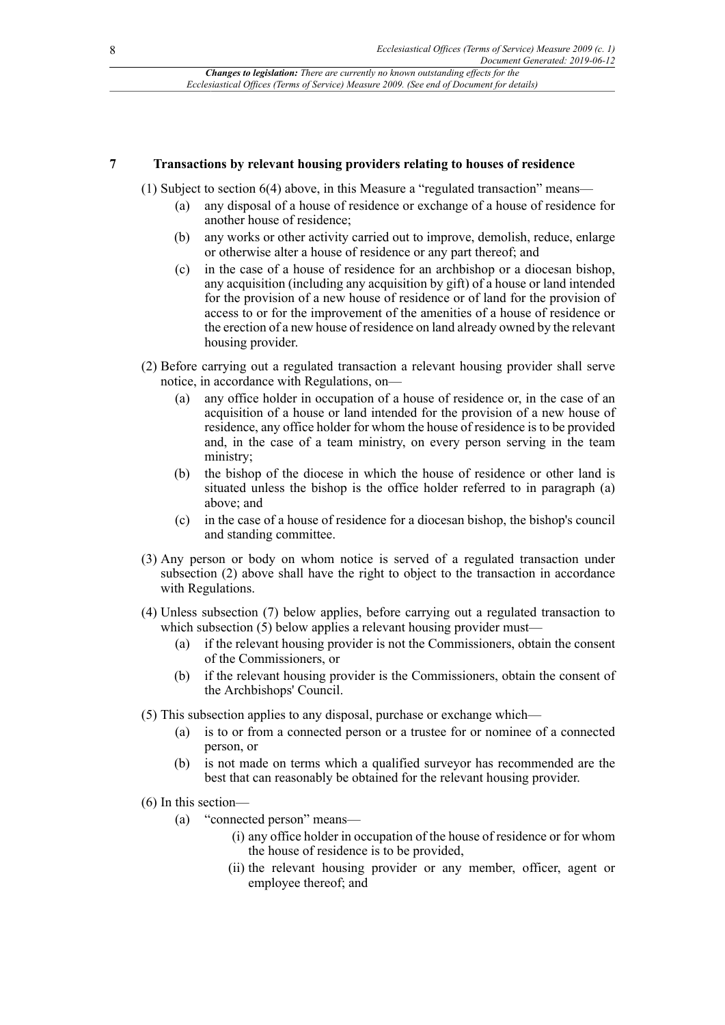#### **7 Transactions by relevant housing providers relating to houses of residence**

(1) Subject to section 6(4) above, in this Measure a "regulated transaction" means—

- (a) any disposal of a house of residence or exchange of a house of residence for another house of residence;
- (b) any works or other activity carried out to improve, demolish, reduce, enlarge or otherwise alter a house of residence or any part thereof; and
- (c) in the case of a house of residence for an archbishop or a diocesan bishop, any acquisition (including any acquisition by gift) of a house or land intended for the provision of a new house of residence or of land for the provision of access to or for the improvement of the amenities of a house of residence or the erection of a new house of residence on land already owned by the relevant housing provider.
- (2) Before carrying out a regulated transaction a relevant housing provider shall serve notice, in accordance with Regulations, on—
	- (a) any office holder in occupation of a house of residence or, in the case of an acquisition of a house or land intended for the provision of a new house of residence, any office holder for whom the house of residence is to be provided and, in the case of a team ministry, on every person serving in the team ministry;
	- (b) the bishop of the diocese in which the house of residence or other land is situated unless the bishop is the office holder referred to in paragraph (a) above; and
	- (c) in the case of a house of residence for a diocesan bishop, the bishop's council and standing committee.
- (3) Any person or body on whom notice is served of a regulated transaction under subsection (2) above shall have the right to object to the transaction in accordance with Regulations.
- (4) Unless subsection (7) below applies, before carrying out a regulated transaction to which subsection (5) below applies a relevant housing provider must-
	- (a) if the relevant housing provider is not the Commissioners, obtain the consent of the Commissioners, or
	- (b) if the relevant housing provider is the Commissioners, obtain the consent of the Archbishops' Council.
- (5) This subsection applies to any disposal, purchase or exchange which—
	- (a) is to or from a connected person or a trustee for or nominee of a connected person, or
	- (b) is not made on terms which a qualified surveyor has recommended are the best that can reasonably be obtained for the relevant housing provider.
- (6) In this section—
	- (a) "connected person" means—
		- (i) any office holder in occupation of the house of residence or for whom the house of residence is to be provided,
		- (ii) the relevant housing provider or any member, officer, agent or employee thereof; and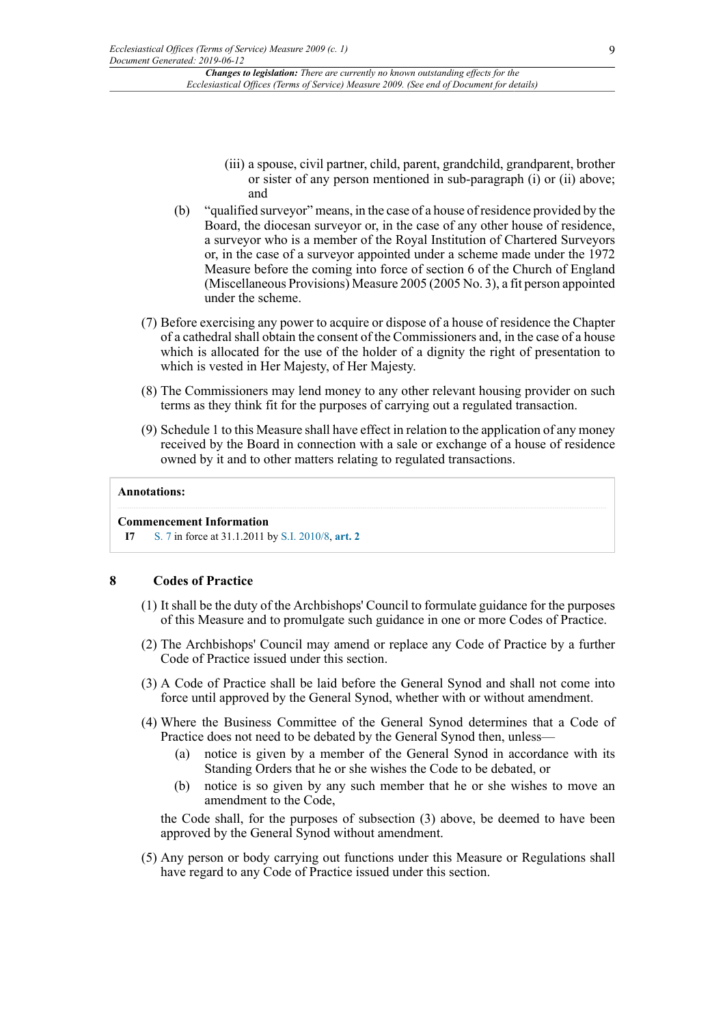- (iii) a spouse, civil partner, child, parent, grandchild, grandparent, brother or sister of any person mentioned in sub-paragraph (i) or (ii) above; and
- (b) "qualified surveyor" means, in the case of a house of residence provided by the Board, the diocesan surveyor or, in the case of any other house of residence, a surveyor who is a member of the Royal Institution of Chartered Surveyors or, in the case of a surveyor appointed under a scheme made under the 1972 Measure before the coming into force of section 6 of the Church of England (Miscellaneous Provisions) Measure 2005 (2005 No. 3), a fit person appointed under the scheme.
- (7) Before exercising any power to acquire or dispose of a house of residence the Chapter of a cathedral shall obtain the consent of the Commissioners and, in the case of a house which is allocated for the use of the holder of a dignity the right of presentation to which is vested in Her Majesty, of Her Majesty.
- (8) The Commissioners may lend money to any other relevant housing provider on such terms as they think fit for the purposes of carrying out a regulated transaction.
- (9) Schedule 1 to this Measure shall have effect in relation to the application of any money received by the Board in connection with a sale or exchange of a house of residence owned by it and to other matters relating to regulated transactions.

#### **Annotations:**

#### **Commencement Information**

**I7** [S. 7](http://www.legislation.gov.uk/id/ukcm/2009/1/section/7) in force at 31.1.2011 by [S.I. 2010/8,](http://www.legislation.gov.uk/id/ukci/2010/8) **[art. 2](http://www.legislation.gov.uk/id/ukci/2010/8/article/2)**

#### **8 Codes of Practice**

- (1) It shall be the duty of the Archbishops' Council to formulate guidance for the purposes of this Measure and to promulgate such guidance in one or more Codes of Practice.
- (2) The Archbishops' Council may amend or replace any Code of Practice by a further Code of Practice issued under this section.
- (3) A Code of Practice shall be laid before the General Synod and shall not come into force until approved by the General Synod, whether with or without amendment.
- (4) Where the Business Committee of the General Synod determines that a Code of Practice does not need to be debated by the General Synod then, unless—
	- (a) notice is given by a member of the General Synod in accordance with its Standing Orders that he or she wishes the Code to be debated, or
	- (b) notice is so given by any such member that he or she wishes to move an amendment to the Code,

the Code shall, for the purposes of subsection (3) above, be deemed to have been approved by the General Synod without amendment.

(5) Any person or body carrying out functions under this Measure or Regulations shall have regard to any Code of Practice issued under this section.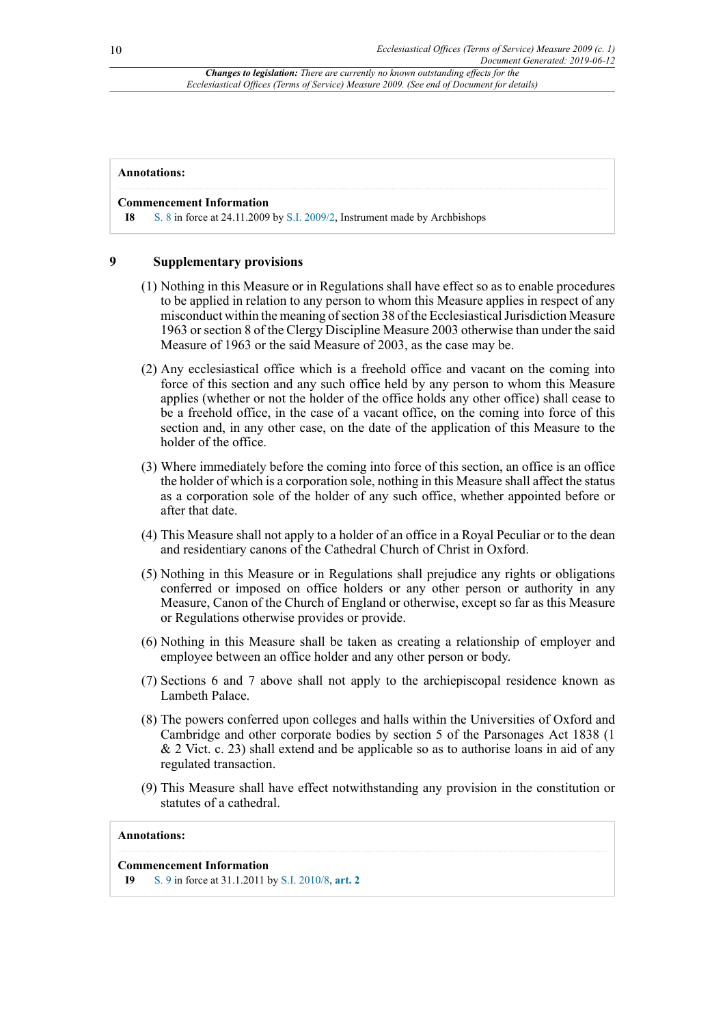#### **Annotations:**

#### **Commencement Information**

**I8** [S. 8](http://www.legislation.gov.uk/id/ukcm/2009/1/section/8) in force at 24.11.2009 by [S.I. 2009/2](http://www.legislation.gov.uk/id/ukci/2009/2), Instrument made by Archbishops

#### **9 Supplementary provisions**

- (1) Nothing in this Measure or in Regulations shall have effect so as to enable procedures to be applied in relation to any person to whom this Measure applies in respect of any misconduct within the meaning of section 38 of the Ecclesiastical Jurisdiction Measure 1963 or section 8 of the Clergy Discipline Measure 2003 otherwise than under the said Measure of 1963 or the said Measure of 2003, as the case may be.
- (2) Any ecclesiastical office which is a freehold office and vacant on the coming into force of this section and any such office held by any person to whom this Measure applies (whether or not the holder of the office holds any other office) shall cease to be a freehold office, in the case of a vacant office, on the coming into force of this section and, in any other case, on the date of the application of this Measure to the holder of the office.
- (3) Where immediately before the coming into force of this section, an office is an office the holder of which is a corporation sole, nothing in this Measure shall affect the status as a corporation sole of the holder of any such office, whether appointed before or after that date.
- (4) This Measure shall not apply to a holder of an office in a Royal Peculiar or to the dean and residentiary canons of the Cathedral Church of Christ in Oxford.
- (5) Nothing in this Measure or in Regulations shall prejudice any rights or obligations conferred or imposed on office holders or any other person or authority in any Measure, Canon of the Church of England or otherwise, except so far as this Measure or Regulations otherwise provides or provide.
- (6) Nothing in this Measure shall be taken as creating a relationship of employer and employee between an office holder and any other person or body.
- (7) Sections 6 and 7 above shall not apply to the archiepiscopal residence known as Lambeth Palace.
- (8) The powers conferred upon colleges and halls within the Universities of Oxford and Cambridge and other corporate bodies by section 5 of the Parsonages Act 1838 (1 & 2 Vict. c. 23) shall extend and be applicable so as to authorise loans in aid of any regulated transaction.
- (9) This Measure shall have effect notwithstanding any provision in the constitution or statutes of a cathedral.

#### **Annotations:**

#### **Commencement Information**

**I9** [S. 9](http://www.legislation.gov.uk/id/ukcm/2009/1/section/9) in force at 31.1.2011 by [S.I. 2010/8,](http://www.legislation.gov.uk/id/ukci/2010/8) **[art. 2](http://www.legislation.gov.uk/id/ukci/2010/8/article/2)**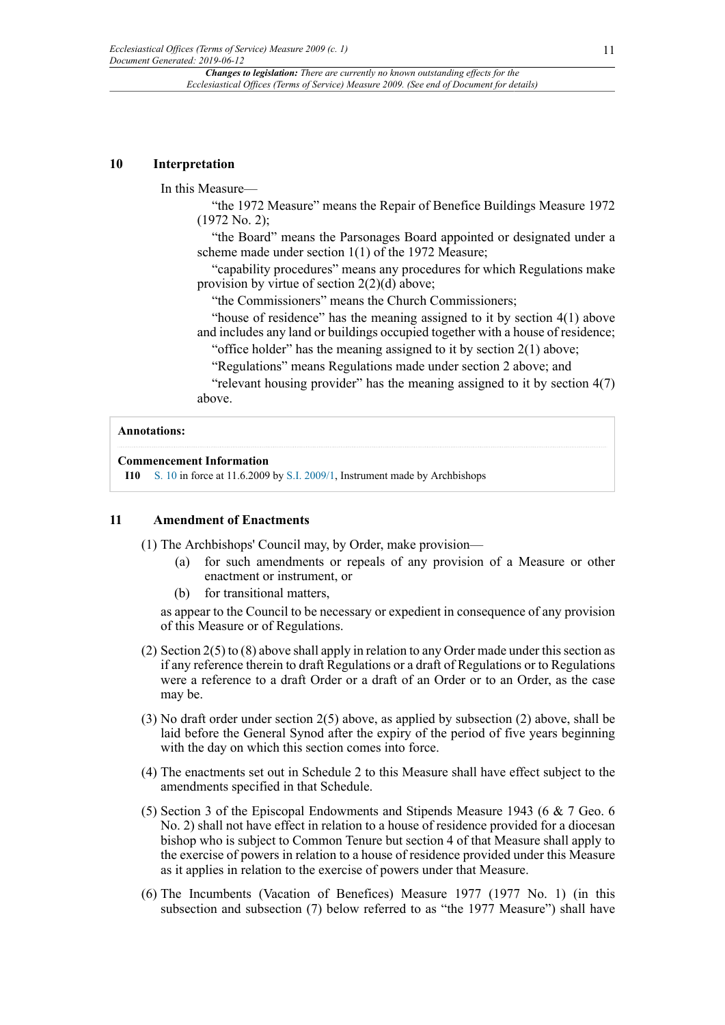#### **10 Interpretation**

In this Measure—

"the 1972 Measure" means the Repair of Benefice Buildings Measure 1972 (1972 No. 2);

"the Board" means the Parsonages Board appointed or designated under a scheme made under section 1(1) of the 1972 Measure;

"capability procedures" means any procedures for which Regulations make provision by virtue of section 2(2)(d) above;

"the Commissioners" means the Church Commissioners;

"house of residence" has the meaning assigned to it by section 4(1) above and includes any land or buildings occupied together with a house of residence;

"office holder" has the meaning assigned to it by section  $2(1)$  above;

"Regulations" means Regulations made under section 2 above; and

"relevant housing provider" has the meaning assigned to it by section 4(7) above.

#### **Annotations:**

#### **Commencement Information**

**I10** [S. 10](http://www.legislation.gov.uk/id/ukcm/2009/1/section/10) in force at 11.6.2009 by [S.I. 2009/1](http://www.legislation.gov.uk/id/ukci/2009/1), Instrument made by Archbishops

#### **11 Amendment of Enactments**

(1) The Archbishops' Council may, by Order, make provision—

- (a) for such amendments or repeals of any provision of a Measure or other enactment or instrument, or
- (b) for transitional matters,

as appear to the Council to be necessary or expedient in consequence of any provision of this Measure or of Regulations.

- (2) Section 2(5) to (8) above shall apply in relation to any Order made under this section as if any reference therein to draft Regulations or a draft of Regulations or to Regulations were a reference to a draft Order or a draft of an Order or to an Order, as the case may be.
- (3) No draft order under section 2(5) above, as applied by subsection (2) above, shall be laid before the General Synod after the expiry of the period of five years beginning with the day on which this section comes into force.
- (4) The enactments set out in Schedule 2 to this Measure shall have effect subject to the amendments specified in that Schedule.
- (5) Section 3 of the Episcopal Endowments and Stipends Measure 1943 (6 & 7 Geo. 6 No. 2) shall not have effect in relation to a house of residence provided for a diocesan bishop who is subject to Common Tenure but section 4 of that Measure shall apply to the exercise of powers in relation to a house of residence provided under this Measure as it applies in relation to the exercise of powers under that Measure.
- (6) The Incumbents (Vacation of Benefices) Measure 1977 (1977 No. 1) (in this subsection and subsection (7) below referred to as "the 1977 Measure") shall have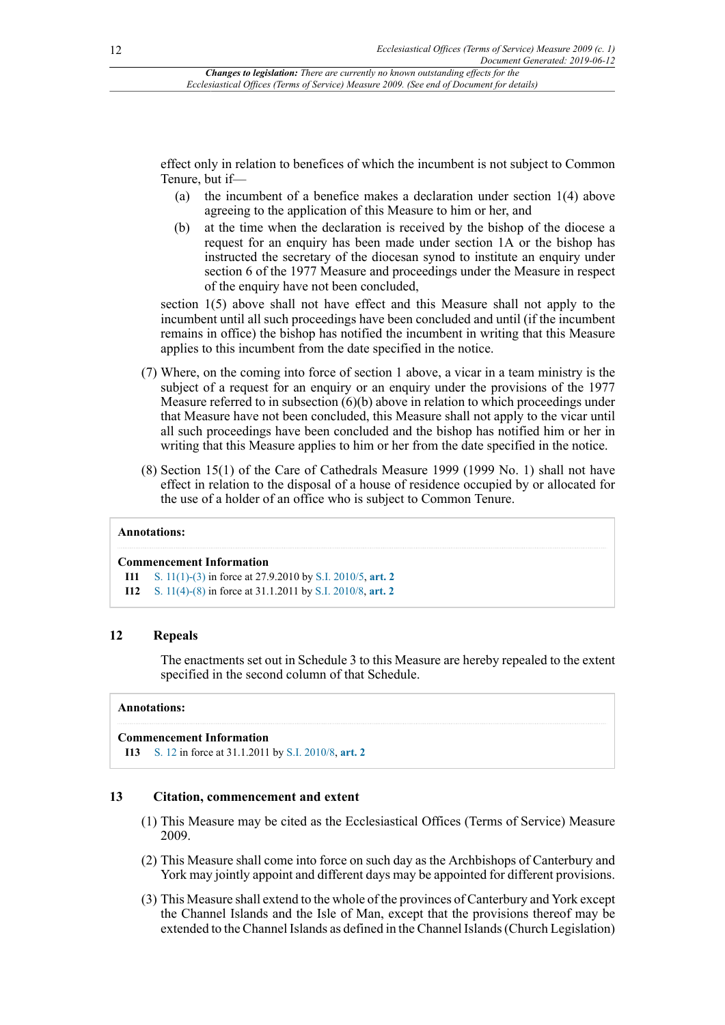effect only in relation to benefices of which the incumbent is not subject to Common Tenure, but if—

- (a) the incumbent of a benefice makes a declaration under section 1(4) above agreeing to the application of this Measure to him or her, and
- (b) at the time when the declaration is received by the bishop of the diocese a request for an enquiry has been made under section 1A or the bishop has instructed the secretary of the diocesan synod to institute an enquiry under section 6 of the 1977 Measure and proceedings under the Measure in respect of the enquiry have not been concluded,

section 1(5) above shall not have effect and this Measure shall not apply to the incumbent until all such proceedings have been concluded and until (if the incumbent remains in office) the bishop has notified the incumbent in writing that this Measure applies to this incumbent from the date specified in the notice.

- (7) Where, on the coming into force of section 1 above, a vicar in a team ministry is the subject of a request for an enquiry or an enquiry under the provisions of the 1977 Measure referred to in subsection  $(6)(b)$  above in relation to which proceedings under that Measure have not been concluded, this Measure shall not apply to the vicar until all such proceedings have been concluded and the bishop has notified him or her in writing that this Measure applies to him or her from the date specified in the notice.
- (8) Section 15(1) of the Care of Cathedrals Measure 1999 (1999 No. 1) shall not have effect in relation to the disposal of a house of residence occupied by or allocated for the use of a holder of an office who is subject to Common Tenure.

#### **Annotations:**

#### **Commencement Information**

- **I11** S. [11\(1\)-\(3\)](http://www.legislation.gov.uk/id/ukcm/2009/1/section/11/1) in force at 27.9.2010 by [S.I. 2010/5](http://www.legislation.gov.uk/id/ukci/2010/5), **[art. 2](http://www.legislation.gov.uk/id/ukci/2010/5/article/2)**
- **I12** S. [11\(4\)-\(8\)](http://www.legislation.gov.uk/id/ukcm/2009/1/section/11/4) in force at 31.1.2011 by [S.I. 2010/8,](http://www.legislation.gov.uk/id/ukci/2010/8) **[art. 2](http://www.legislation.gov.uk/id/ukci/2010/8/article/2)**

#### **12 Repeals**

The enactments set out in Schedule 3 to this Measure are hereby repealed to the extent specified in the second column of that Schedule.

#### **Annotations:**

#### **Commencement Information**

**I13** [S. 12](http://www.legislation.gov.uk/id/ukcm/2009/1/section/12) in force at 31.1.2011 by [S.I. 2010/8](http://www.legislation.gov.uk/id/ukci/2010/8), **[art. 2](http://www.legislation.gov.uk/id/ukci/2010/8/article/2)**

#### **13 Citation, commencement and extent**

- (1) This Measure may be cited as the Ecclesiastical Offices (Terms of Service) Measure 2009.
- (2) This Measure shall come into force on such day as the Archbishops of Canterbury and York may jointly appoint and different days may be appointed for different provisions.
- (3) This Measure shall extend to the whole of the provinces of Canterbury and York except the Channel Islands and the Isle of Man, except that the provisions thereof may be extended to the Channel Islands as defined in the Channel Islands (Church Legislation)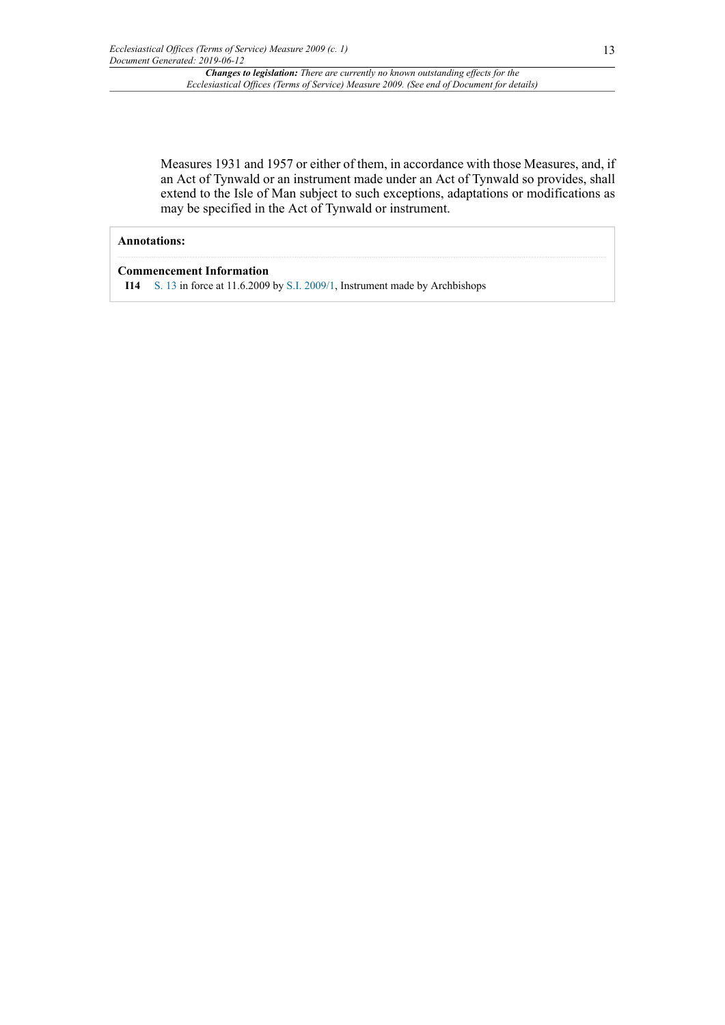Measures 1931 and 1957 or either of them, in accordance with those Measures, and, if an Act of Tynwald or an instrument made under an Act of Tynwald so provides, shall extend to the Isle of Man subject to such exceptions, adaptations or modifications as may be specified in the Act of Tynwald or instrument.

#### **Annotations:**

#### **Commencement Information**

**I14** [S. 13](http://www.legislation.gov.uk/id/ukcm/2009/1/section/13) in force at 11.6.2009 by [S.I. 2009/1](http://www.legislation.gov.uk/id/ukci/2009/1), Instrument made by Archbishops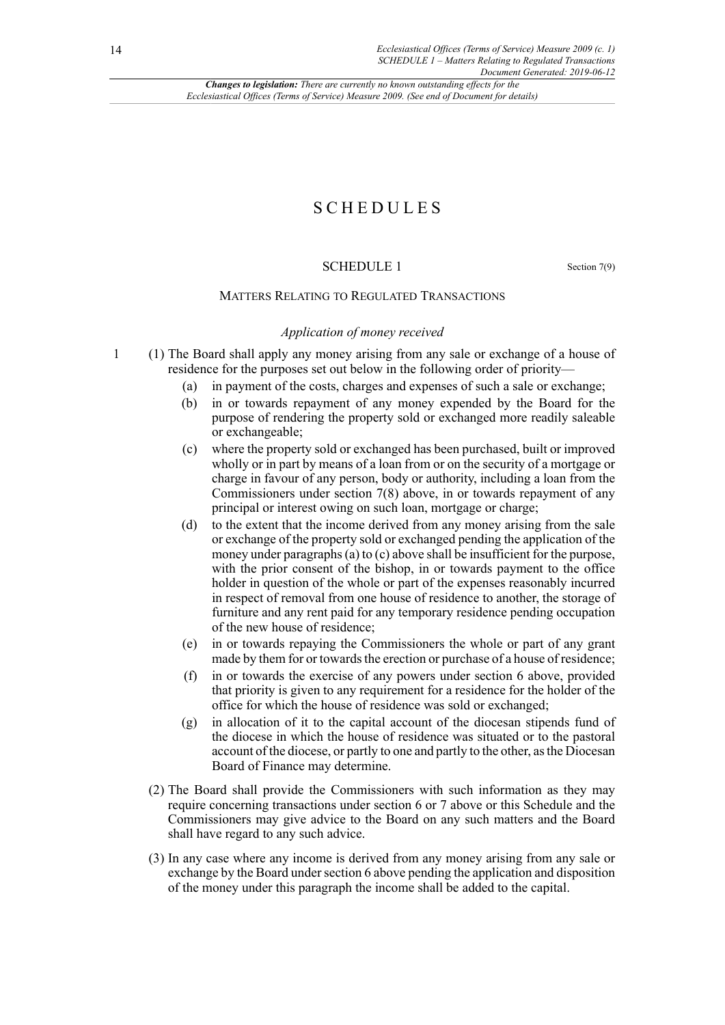## SCHEDULES

### SCHEDULE 1 Section 7(9)

#### MATTERS RELATING TO REGULATED TRANSACTIONS

#### *Application of money received*

- 1 (1) The Board shall apply any money arising from any sale or exchange of a house of residence for the purposes set out below in the following order of priority—
	- (a) in payment of the costs, charges and expenses of such a sale or exchange;
	- (b) in or towards repayment of any money expended by the Board for the purpose of rendering the property sold or exchanged more readily saleable or exchangeable;
	- (c) where the property sold or exchanged has been purchased, built or improved wholly or in part by means of a loan from or on the security of a mortgage or charge in favour of any person, body or authority, including a loan from the Commissioners under section 7(8) above, in or towards repayment of any principal or interest owing on such loan, mortgage or charge;
	- (d) to the extent that the income derived from any money arising from the sale or exchange of the property sold or exchanged pending the application of the money under paragraphs (a) to (c) above shall be insufficient for the purpose, with the prior consent of the bishop, in or towards payment to the office holder in question of the whole or part of the expenses reasonably incurred in respect of removal from one house of residence to another, the storage of furniture and any rent paid for any temporary residence pending occupation of the new house of residence;
	- (e) in or towards repaying the Commissioners the whole or part of any grant made by them for or towards the erection or purchase of a house of residence;
	- (f) in or towards the exercise of any powers under section 6 above, provided that priority is given to any requirement for a residence for the holder of the office for which the house of residence was sold or exchanged;
	- (g) in allocation of it to the capital account of the diocesan stipends fund of the diocese in which the house of residence was situated or to the pastoral account of the diocese, or partly to one and partly to the other, asthe Diocesan Board of Finance may determine.
	- (2) The Board shall provide the Commissioners with such information as they may require concerning transactions under section 6 or 7 above or this Schedule and the Commissioners may give advice to the Board on any such matters and the Board shall have regard to any such advice.
	- (3) In any case where any income is derived from any money arising from any sale or exchange by the Board under section 6 above pending the application and disposition of the money under this paragraph the income shall be added to the capital.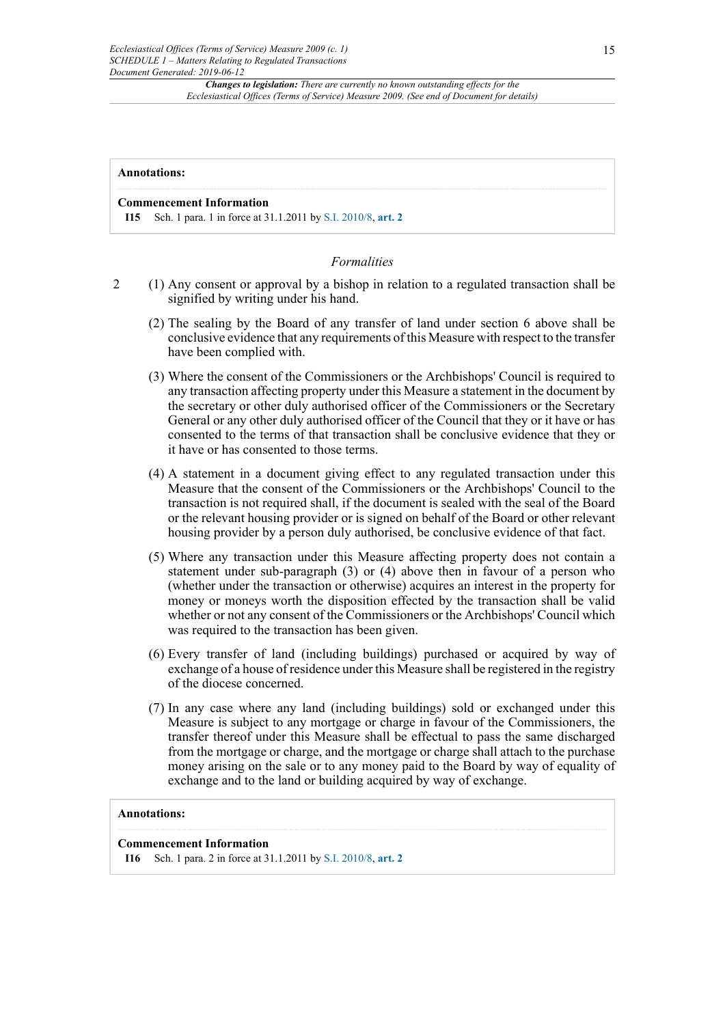#### **Annotations:**

#### **Commencement Information**

**I15** Sch. 1 para. 1 in force at 31.1.2011 by [S.I. 2010/8,](http://www.legislation.gov.uk/id/ukci/2010/8) **[art. 2](http://www.legislation.gov.uk/id/ukci/2010/8/article/2)**

#### *Formalities*

- 2 (1) Any consent or approval by a bishop in relation to a regulated transaction shall be signified by writing under his hand.
	- (2) The sealing by the Board of any transfer of land under section 6 above shall be conclusive evidence that any requirements of this Measure with respect to the transfer have been complied with.
	- (3) Where the consent of the Commissioners or the Archbishops' Council is required to any transaction affecting property under this Measure a statement in the document by the secretary or other duly authorised officer of the Commissioners or the Secretary General or any other duly authorised officer of the Council that they or it have or has consented to the terms of that transaction shall be conclusive evidence that they or it have or has consented to those terms.
	- (4) A statement in a document giving effect to any regulated transaction under this Measure that the consent of the Commissioners or the Archbishops' Council to the transaction is not required shall, if the document is sealed with the seal of the Board or the relevant housing provider or is signed on behalf of the Board or other relevant housing provider by a person duly authorised, be conclusive evidence of that fact.
	- (5) Where any transaction under this Measure affecting property does not contain a statement under sub-paragraph (3) or (4) above then in favour of a person who (whether under the transaction or otherwise) acquires an interest in the property for money or moneys worth the disposition effected by the transaction shall be valid whether or not any consent of the Commissioners or the Archbishops' Council which was required to the transaction has been given.
	- (6) Every transfer of land (including buildings) purchased or acquired by way of exchange of a house of residence under this Measure shall be registered in the registry of the diocese concerned.
	- (7) In any case where any land (including buildings) sold or exchanged under this Measure is subject to any mortgage or charge in favour of the Commissioners, the transfer thereof under this Measure shall be effectual to pass the same discharged from the mortgage or charge, and the mortgage or charge shall attach to the purchase money arising on the sale or to any money paid to the Board by way of equality of exchange and to the land or building acquired by way of exchange.

#### **Annotations:**

#### **Commencement Information**

**I16** Sch. 1 para. 2 in force at 31.1.2011 by [S.I. 2010/8,](http://www.legislation.gov.uk/id/ukci/2010/8) **[art. 2](http://www.legislation.gov.uk/id/ukci/2010/8/article/2)**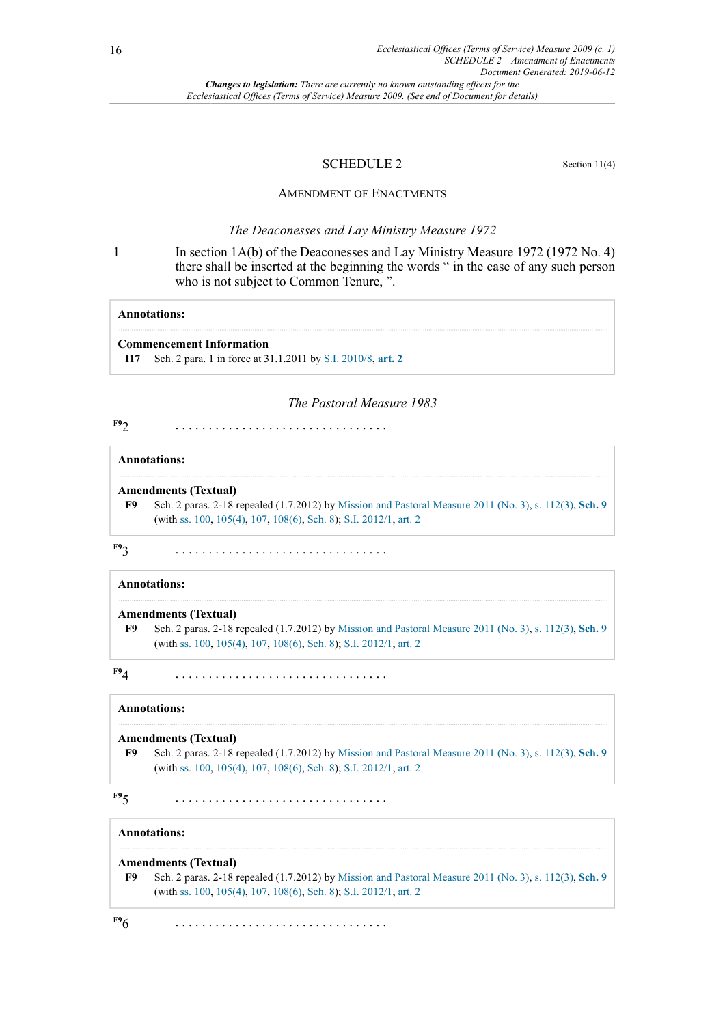#### SCHEDULE 2 Section 11(4)

#### AMENDMENT OF ENACTMENTS

#### *The Deaconesses and Lay Ministry Measure 1972*

1 In section 1A(b) of the Deaconesses and Lay Ministry Measure 1972 (1972 No. 4) there shall be inserted at the beginning the words " in the case of any such person who is not subject to Common Tenure, ".

#### **Annotations:**

#### **Commencement Information**

**I17** Sch. 2 para. 1 in force at 31.1.2011 by [S.I. 2010/8,](http://www.legislation.gov.uk/id/ukci/2010/8) **[art. 2](http://www.legislation.gov.uk/id/ukci/2010/8/article/2)**

#### *The Pastoral Measure 1983*

<span id="page-15-1"></span>**[F9](#page-15-0)**2 . . . . . . . . . . . . . . . . . . . . . . . . . . . . . . . .

#### **Annotations:**

#### **Amendments (Textual)**

<span id="page-15-0"></span>**[F9](#page-15-1)** Sch. 2 paras. 2-18 repealed (1.7.2012) by Mission and Pastoral [Measure](http://www.legislation.gov.uk/id/ukcm/2011/3) 2011 (No. 3), s. [112\(3\),](http://www.legislation.gov.uk/id/ukcm/2011/3/section/112/3) **[Sch. 9](http://www.legislation.gov.uk/id/ukcm/2011/3/schedule/9)** (with [ss. 100,](http://www.legislation.gov.uk/id/ukcm/2011/3/section/100) [105\(4\)](http://www.legislation.gov.uk/id/ukcm/2011/3/section/105/4), [107](http://www.legislation.gov.uk/id/ukcm/2011/3/section/107), [108\(6\),](http://www.legislation.gov.uk/id/ukcm/2011/3/section/108/6) [Sch. 8\)](http://www.legislation.gov.uk/id/ukcm/2011/3/schedule/8); [S.I. 2012/1](http://www.legislation.gov.uk/id/ukci/2012/1), [art. 2](http://www.legislation.gov.uk/id/ukci/2012/1/article/2)

**[F9](#page-15-0)**3 . . . . . . . . . . . . . . . . . . . . . . . . . . . . . . . .

#### **Annotations:**

#### **Amendments (Textual)**

**[F9](#page-15-1)** Sch. 2 paras. 2-18 repealed (1.7.2012) by Mission and Pastoral [Measure](http://www.legislation.gov.uk/id/ukcm/2011/3) 2011 (No. 3), s. [112\(3\),](http://www.legislation.gov.uk/id/ukcm/2011/3/section/112/3) **[Sch. 9](http://www.legislation.gov.uk/id/ukcm/2011/3/schedule/9)** (with [ss. 100,](http://www.legislation.gov.uk/id/ukcm/2011/3/section/100) [105\(4\)](http://www.legislation.gov.uk/id/ukcm/2011/3/section/105/4), [107](http://www.legislation.gov.uk/id/ukcm/2011/3/section/107), [108\(6\),](http://www.legislation.gov.uk/id/ukcm/2011/3/section/108/6) [Sch. 8\)](http://www.legislation.gov.uk/id/ukcm/2011/3/schedule/8); [S.I. 2012/1](http://www.legislation.gov.uk/id/ukci/2012/1), [art. 2](http://www.legislation.gov.uk/id/ukci/2012/1/article/2)

#### **[F9](#page-15-0)**4 . . . . . . . . . . . . . . . . . . . . . . . . . . . . . . . .

## **Annotations:**

**Amendments (Textual) [F9](#page-15-1)** Sch. 2 paras. 2-18 repealed (1.7.2012) by Mission and Pastoral [Measure](http://www.legislation.gov.uk/id/ukcm/2011/3) 2011 (No. 3), s. [112\(3\),](http://www.legislation.gov.uk/id/ukcm/2011/3/section/112/3) **[Sch. 9](http://www.legislation.gov.uk/id/ukcm/2011/3/schedule/9)** (with [ss. 100,](http://www.legislation.gov.uk/id/ukcm/2011/3/section/100) [105\(4\)](http://www.legislation.gov.uk/id/ukcm/2011/3/section/105/4), [107](http://www.legislation.gov.uk/id/ukcm/2011/3/section/107), [108\(6\),](http://www.legislation.gov.uk/id/ukcm/2011/3/section/108/6) [Sch. 8\)](http://www.legislation.gov.uk/id/ukcm/2011/3/schedule/8); [S.I. 2012/1](http://www.legislation.gov.uk/id/ukci/2012/1), [art. 2](http://www.legislation.gov.uk/id/ukci/2012/1/article/2)

**[F9](#page-15-0)**5 . . . . . . . . . . . . . . . . . . . . . . . . . . . . . . . .

#### **Annotations:**

#### **Amendments (Textual)**

**[F9](#page-15-1)** Sch. 2 paras. 2-18 repealed (1.7.2012) by Mission and Pastoral [Measure](http://www.legislation.gov.uk/id/ukcm/2011/3) 2011 (No. 3), s. [112\(3\),](http://www.legislation.gov.uk/id/ukcm/2011/3/section/112/3) **[Sch. 9](http://www.legislation.gov.uk/id/ukcm/2011/3/schedule/9)** (with [ss. 100,](http://www.legislation.gov.uk/id/ukcm/2011/3/section/100) [105\(4\)](http://www.legislation.gov.uk/id/ukcm/2011/3/section/105/4), [107](http://www.legislation.gov.uk/id/ukcm/2011/3/section/107), [108\(6\),](http://www.legislation.gov.uk/id/ukcm/2011/3/section/108/6) [Sch. 8\)](http://www.legislation.gov.uk/id/ukcm/2011/3/schedule/8); [S.I. 2012/1](http://www.legislation.gov.uk/id/ukci/2012/1), [art. 2](http://www.legislation.gov.uk/id/ukci/2012/1/article/2)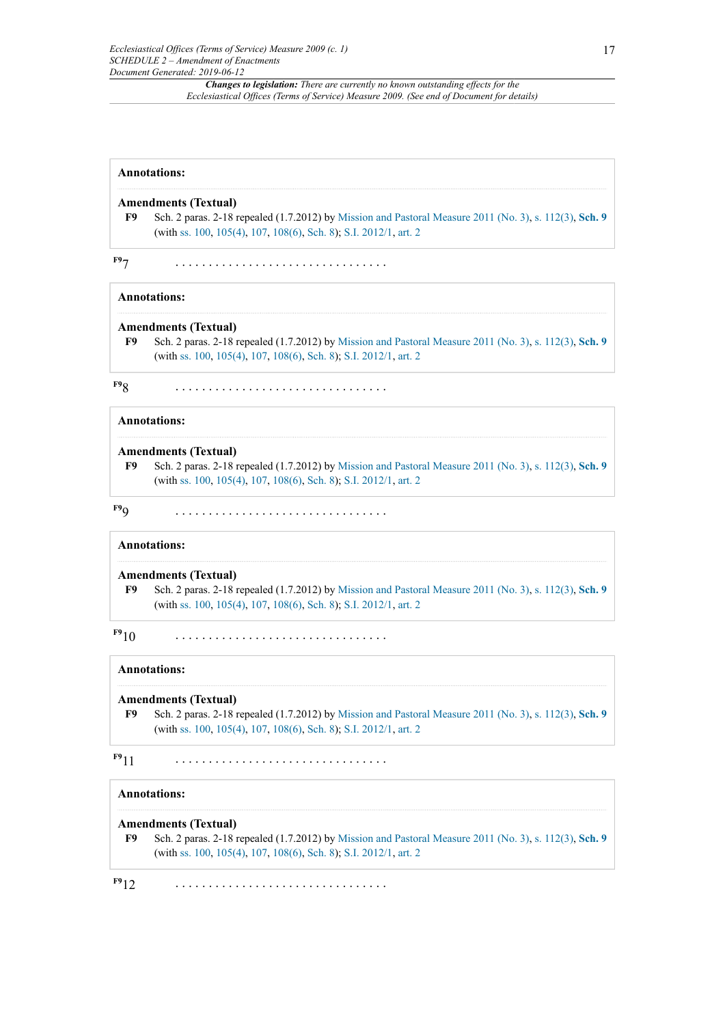| <b>Annotations:</b> |                                                                                                                                                                                                           |  |  |
|---------------------|-----------------------------------------------------------------------------------------------------------------------------------------------------------------------------------------------------------|--|--|
| F9                  | <b>Amendments (Textual)</b><br>Sch. 2 paras. 2-18 repealed (1.7.2012) by Mission and Pastoral Measure 2011 (No. 3), s. 112(3), Sch. 9<br>(with ss. 100, 105(4), 107, 108(6), Sch. 8); S.I. 2012/1, art. 2 |  |  |
|                     |                                                                                                                                                                                                           |  |  |

#### **Annotations:**

#### **Amendments (Textual)**

**[F9](#page-15-1)** Sch. 2 paras. 2-18 repealed (1.7.2012) by Mission and Pastoral [Measure](http://www.legislation.gov.uk/id/ukcm/2011/3) 2011 (No. 3), s. [112\(3\),](http://www.legislation.gov.uk/id/ukcm/2011/3/section/112/3) **[Sch. 9](http://www.legislation.gov.uk/id/ukcm/2011/3/schedule/9)** (with [ss. 100,](http://www.legislation.gov.uk/id/ukcm/2011/3/section/100) [105\(4\)](http://www.legislation.gov.uk/id/ukcm/2011/3/section/105/4), [107](http://www.legislation.gov.uk/id/ukcm/2011/3/section/107), [108\(6\),](http://www.legislation.gov.uk/id/ukcm/2011/3/section/108/6) [Sch. 8\)](http://www.legislation.gov.uk/id/ukcm/2011/3/schedule/8); [S.I. 2012/1](http://www.legislation.gov.uk/id/ukci/2012/1), [art. 2](http://www.legislation.gov.uk/id/ukci/2012/1/article/2)

**[F9](#page-15-0)**8 . . . . . . . . . . . . . . . . . . . . . . . . . . . . . . . .

**Annotations:**

#### **Amendments (Textual)**

**[F9](#page-15-1)** Sch. 2 paras. 2-18 repealed (1.7.2012) by Mission and Pastoral [Measure](http://www.legislation.gov.uk/id/ukcm/2011/3) 2011 (No. 3), s. [112\(3\),](http://www.legislation.gov.uk/id/ukcm/2011/3/section/112/3) **[Sch. 9](http://www.legislation.gov.uk/id/ukcm/2011/3/schedule/9)** (with [ss. 100,](http://www.legislation.gov.uk/id/ukcm/2011/3/section/100) [105\(4\)](http://www.legislation.gov.uk/id/ukcm/2011/3/section/105/4), [107](http://www.legislation.gov.uk/id/ukcm/2011/3/section/107), [108\(6\),](http://www.legislation.gov.uk/id/ukcm/2011/3/section/108/6) [Sch. 8\)](http://www.legislation.gov.uk/id/ukcm/2011/3/schedule/8); [S.I. 2012/1](http://www.legislation.gov.uk/id/ukci/2012/1), [art. 2](http://www.legislation.gov.uk/id/ukci/2012/1/article/2)

**[F9](#page-15-0)**9 . . . . . . . . . . . . . . . . . . . . . . . . . . . . . . . .

#### **Annotations:**

#### **Amendments (Textual)**

**[F9](#page-15-1)** Sch. 2 paras. 2-18 repealed (1.7.2012) by Mission and Pastoral [Measure](http://www.legislation.gov.uk/id/ukcm/2011/3) 2011 (No. 3), s. [112\(3\),](http://www.legislation.gov.uk/id/ukcm/2011/3/section/112/3) **[Sch. 9](http://www.legislation.gov.uk/id/ukcm/2011/3/schedule/9)** (with [ss. 100,](http://www.legislation.gov.uk/id/ukcm/2011/3/section/100) [105\(4\)](http://www.legislation.gov.uk/id/ukcm/2011/3/section/105/4), [107](http://www.legislation.gov.uk/id/ukcm/2011/3/section/107), [108\(6\),](http://www.legislation.gov.uk/id/ukcm/2011/3/section/108/6) [Sch. 8\)](http://www.legislation.gov.uk/id/ukcm/2011/3/schedule/8); [S.I. 2012/1](http://www.legislation.gov.uk/id/ukci/2012/1), [art. 2](http://www.legislation.gov.uk/id/ukci/2012/1/article/2)

**[F9](#page-15-0)**10 . . . . . . . . . . . . . . . . . . . . . . . . . . . . . . . .

#### **Annotations:**

#### **Amendments (Textual)**

**[F9](#page-15-1)** Sch. 2 paras. 2-18 repealed (1.7.2012) by Mission and Pastoral [Measure](http://www.legislation.gov.uk/id/ukcm/2011/3) 2011 (No. 3), s. [112\(3\),](http://www.legislation.gov.uk/id/ukcm/2011/3/section/112/3) **[Sch. 9](http://www.legislation.gov.uk/id/ukcm/2011/3/schedule/9)** (with [ss. 100,](http://www.legislation.gov.uk/id/ukcm/2011/3/section/100) [105\(4\)](http://www.legislation.gov.uk/id/ukcm/2011/3/section/105/4), [107](http://www.legislation.gov.uk/id/ukcm/2011/3/section/107), [108\(6\),](http://www.legislation.gov.uk/id/ukcm/2011/3/section/108/6) [Sch. 8\)](http://www.legislation.gov.uk/id/ukcm/2011/3/schedule/8); [S.I. 2012/1](http://www.legislation.gov.uk/id/ukci/2012/1), [art. 2](http://www.legislation.gov.uk/id/ukci/2012/1/article/2)

**[F9](#page-15-0)**11 . . . . . . . . . . . . . . . . . . . . . . . . . . . . . . . .

#### **Annotations:**

#### **Amendments (Textual)**

**[F9](#page-15-1)** Sch. 2 paras. 2-18 repealed (1.7.2012) by Mission and Pastoral [Measure](http://www.legislation.gov.uk/id/ukcm/2011/3) 2011 (No. 3), s. [112\(3\),](http://www.legislation.gov.uk/id/ukcm/2011/3/section/112/3) **[Sch. 9](http://www.legislation.gov.uk/id/ukcm/2011/3/schedule/9)** (with [ss. 100,](http://www.legislation.gov.uk/id/ukcm/2011/3/section/100) [105\(4\)](http://www.legislation.gov.uk/id/ukcm/2011/3/section/105/4), [107](http://www.legislation.gov.uk/id/ukcm/2011/3/section/107), [108\(6\),](http://www.legislation.gov.uk/id/ukcm/2011/3/section/108/6) [Sch. 8\)](http://www.legislation.gov.uk/id/ukcm/2011/3/schedule/8); [S.I. 2012/1](http://www.legislation.gov.uk/id/ukci/2012/1), [art. 2](http://www.legislation.gov.uk/id/ukci/2012/1/article/2)

**[F9](#page-15-0)**12 . . . . . . . . . . . . . . . . . . . . . . . . . . . . . . . .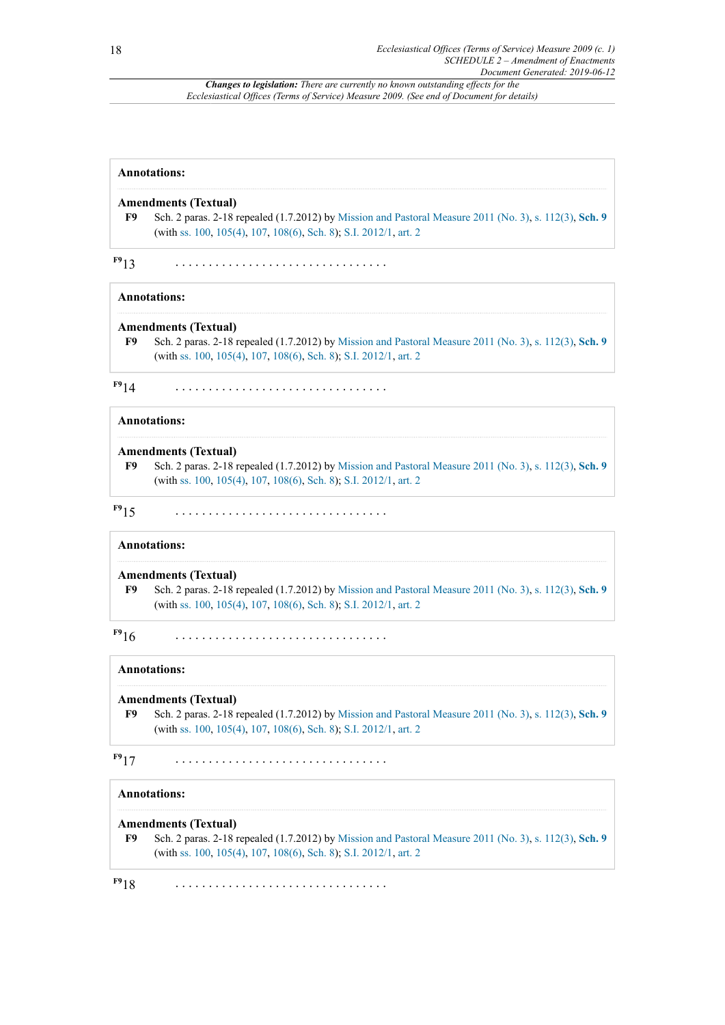## **Annotations: Amendments (Textual) [F9](#page-15-1)** Sch. 2 paras. 2-18 repealed (1.7.2012) by Mission and Pastoral [Measure](http://www.legislation.gov.uk/id/ukcm/2011/3) 2011 (No. 3), s. [112\(3\),](http://www.legislation.gov.uk/id/ukcm/2011/3/section/112/3) **[Sch. 9](http://www.legislation.gov.uk/id/ukcm/2011/3/schedule/9)**

**[F9](#page-15-0)**13 . . . . . . . . . . . . . . . . . . . . . . . . . . . . . . . .

(with [ss. 100,](http://www.legislation.gov.uk/id/ukcm/2011/3/section/100) [105\(4\)](http://www.legislation.gov.uk/id/ukcm/2011/3/section/105/4), [107](http://www.legislation.gov.uk/id/ukcm/2011/3/section/107), [108\(6\),](http://www.legislation.gov.uk/id/ukcm/2011/3/section/108/6) [Sch. 8\)](http://www.legislation.gov.uk/id/ukcm/2011/3/schedule/8); [S.I. 2012/1](http://www.legislation.gov.uk/id/ukci/2012/1), [art. 2](http://www.legislation.gov.uk/id/ukci/2012/1/article/2)

#### **Annotations:**

#### **Amendments (Textual)**

**[F9](#page-15-1)** Sch. 2 paras. 2-18 repealed (1.7.2012) by Mission and Pastoral [Measure](http://www.legislation.gov.uk/id/ukcm/2011/3) 2011 (No. 3), s. [112\(3\),](http://www.legislation.gov.uk/id/ukcm/2011/3/section/112/3) **[Sch. 9](http://www.legislation.gov.uk/id/ukcm/2011/3/schedule/9)** (with [ss. 100,](http://www.legislation.gov.uk/id/ukcm/2011/3/section/100) [105\(4\)](http://www.legislation.gov.uk/id/ukcm/2011/3/section/105/4), [107](http://www.legislation.gov.uk/id/ukcm/2011/3/section/107), [108\(6\),](http://www.legislation.gov.uk/id/ukcm/2011/3/section/108/6) [Sch. 8\)](http://www.legislation.gov.uk/id/ukcm/2011/3/schedule/8); [S.I. 2012/1](http://www.legislation.gov.uk/id/ukci/2012/1), [art. 2](http://www.legislation.gov.uk/id/ukci/2012/1/article/2)

**[F9](#page-15-0)**14 . . . . . . . . . . . . . . . . . . . . . . . . . . . . . . . .

## **Annotations:**

#### **Amendments (Textual)**

**[F9](#page-15-1)** Sch. 2 paras. 2-18 repealed (1.7.2012) by Mission and Pastoral [Measure](http://www.legislation.gov.uk/id/ukcm/2011/3) 2011 (No. 3), s. [112\(3\),](http://www.legislation.gov.uk/id/ukcm/2011/3/section/112/3) **[Sch. 9](http://www.legislation.gov.uk/id/ukcm/2011/3/schedule/9)** (with [ss. 100,](http://www.legislation.gov.uk/id/ukcm/2011/3/section/100) [105\(4\)](http://www.legislation.gov.uk/id/ukcm/2011/3/section/105/4), [107](http://www.legislation.gov.uk/id/ukcm/2011/3/section/107), [108\(6\),](http://www.legislation.gov.uk/id/ukcm/2011/3/section/108/6) [Sch. 8\)](http://www.legislation.gov.uk/id/ukcm/2011/3/schedule/8); [S.I. 2012/1](http://www.legislation.gov.uk/id/ukci/2012/1), [art. 2](http://www.legislation.gov.uk/id/ukci/2012/1/article/2)

**[F9](#page-15-0)**15 . . . . . . . . . . . . . . . . . . . . . . . . . . . . . . . .

#### **Annotations:**

#### **Amendments (Textual)**

**[F9](#page-15-1)** Sch. 2 paras. 2-18 repealed (1.7.2012) by Mission and Pastoral [Measure](http://www.legislation.gov.uk/id/ukcm/2011/3) 2011 (No. 3), s. [112\(3\),](http://www.legislation.gov.uk/id/ukcm/2011/3/section/112/3) **[Sch. 9](http://www.legislation.gov.uk/id/ukcm/2011/3/schedule/9)** (with [ss. 100,](http://www.legislation.gov.uk/id/ukcm/2011/3/section/100) [105\(4\)](http://www.legislation.gov.uk/id/ukcm/2011/3/section/105/4), [107](http://www.legislation.gov.uk/id/ukcm/2011/3/section/107), [108\(6\),](http://www.legislation.gov.uk/id/ukcm/2011/3/section/108/6) [Sch. 8\)](http://www.legislation.gov.uk/id/ukcm/2011/3/schedule/8); [S.I. 2012/1](http://www.legislation.gov.uk/id/ukci/2012/1), [art. 2](http://www.legislation.gov.uk/id/ukci/2012/1/article/2)

**[F9](#page-15-0)**16 . . . . . . . . . . . . . . . . . . . . . . . . . . . . . . . .

#### **Annotations:**

#### **Amendments (Textual)**

**[F9](#page-15-1)** Sch. 2 paras. 2-18 repealed (1.7.2012) by Mission and Pastoral [Measure](http://www.legislation.gov.uk/id/ukcm/2011/3) 2011 (No. 3), s. [112\(3\),](http://www.legislation.gov.uk/id/ukcm/2011/3/section/112/3) **[Sch. 9](http://www.legislation.gov.uk/id/ukcm/2011/3/schedule/9)** (with [ss. 100,](http://www.legislation.gov.uk/id/ukcm/2011/3/section/100) [105\(4\)](http://www.legislation.gov.uk/id/ukcm/2011/3/section/105/4), [107](http://www.legislation.gov.uk/id/ukcm/2011/3/section/107), [108\(6\),](http://www.legislation.gov.uk/id/ukcm/2011/3/section/108/6) [Sch. 8\)](http://www.legislation.gov.uk/id/ukcm/2011/3/schedule/8); [S.I. 2012/1](http://www.legislation.gov.uk/id/ukci/2012/1), [art. 2](http://www.legislation.gov.uk/id/ukci/2012/1/article/2)

**[F9](#page-15-0)**17 . . . . . . . . . . . . . . . . . . . . . . . . . . . . . . . .

#### **Annotations:**

#### **Amendments (Textual)**

**[F9](#page-15-1)** Sch. 2 paras. 2-18 repealed (1.7.2012) by Mission and Pastoral [Measure](http://www.legislation.gov.uk/id/ukcm/2011/3) 2011 (No. 3), s. [112\(3\),](http://www.legislation.gov.uk/id/ukcm/2011/3/section/112/3) **[Sch. 9](http://www.legislation.gov.uk/id/ukcm/2011/3/schedule/9)** (with [ss. 100,](http://www.legislation.gov.uk/id/ukcm/2011/3/section/100) [105\(4\)](http://www.legislation.gov.uk/id/ukcm/2011/3/section/105/4), [107](http://www.legislation.gov.uk/id/ukcm/2011/3/section/107), [108\(6\),](http://www.legislation.gov.uk/id/ukcm/2011/3/section/108/6) [Sch. 8\)](http://www.legislation.gov.uk/id/ukcm/2011/3/schedule/8); [S.I. 2012/1](http://www.legislation.gov.uk/id/ukci/2012/1), [art. 2](http://www.legislation.gov.uk/id/ukci/2012/1/article/2)

**[F9](#page-15-0)**18 . . . . . . . . . . . . . . . . . . . . . . . . . . . . . . . .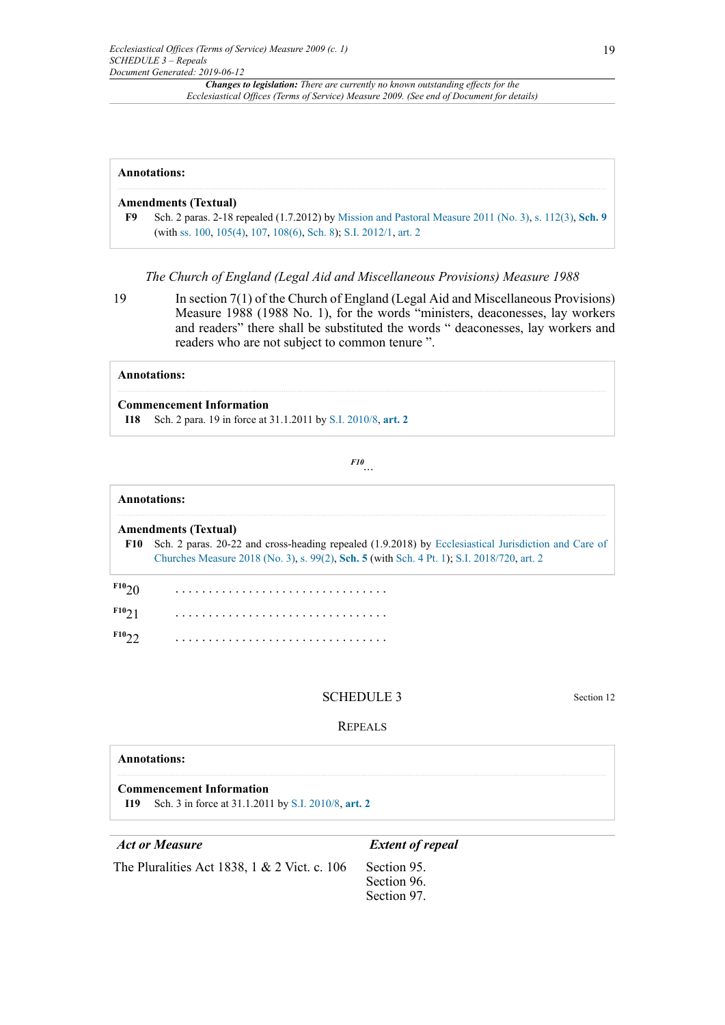| <b>Annotations:</b> |                                                                                                                                                                              |  |
|---------------------|------------------------------------------------------------------------------------------------------------------------------------------------------------------------------|--|
|                     | <b>Amendments (Textual)</b>                                                                                                                                                  |  |
| F9                  | Sch. 2 paras. 2-18 repealed $(1.7.2012)$ by Mission and Pastoral Measure 2011 (No. 3), s. 112(3), Sch. 9<br>(with ss. 100, 105(4), 107, 108(6), Sch. 8); S.I. 2012/1, art. 2 |  |

*The Church of England (Legal Aid and Miscellaneous Provisions) Measure 1988*

19 In section 7(1) of the Church of England (Legal Aid and Miscellaneous Provisions) Measure 1988 (1988 No. 1), for the words "ministers, deaconesses, lay workers and readers" there shall be substituted the words " deaconesses, lay workers and readers who are not subject to common tenure ".

#### **Annotations:**

#### **Commencement Information**

**I18** Sch. 2 para. 19 in force at 31.1.2011 by [S.I. 2010/8](http://www.legislation.gov.uk/id/ukci/2010/8), **[art. 2](http://www.legislation.gov.uk/id/ukci/2010/8/article/2)**

<span id="page-18-1"></span>*[F10](#page-18-0) ...*

## <span id="page-18-0"></span>**Annotations: Amendments (Textual) [F10](#page-18-1)** Sch. 2 paras. 20-22 and cross-heading repealed (1.9.2018) by [Ecclesiastical Jurisdiction and Care of](http://www.legislation.gov.uk/id/ukcm/2018/3) [Churches Measure 2018 \(No. 3\)](http://www.legislation.gov.uk/id/ukcm/2018/3), [s. 99\(2\)](http://www.legislation.gov.uk/id/ukcm/2018/3/section/99/2), **[Sch. 5](http://www.legislation.gov.uk/id/ukcm/2018/3/schedule/5)** (with [Sch. 4 Pt. 1\)](http://www.legislation.gov.uk/id/ukcm/2018/3/schedule/4/part/1); [S.I. 2018/720](http://www.legislation.gov.uk/id/uksi/2018/720), [art. 2](http://www.legislation.gov.uk/id/uksi/2018/720/article/2) **[F10](#page-18-0)**20 . . . . . . . . . . . . . . . . . . . . . . . . . . . . . . . . **[F10](#page-18-0)**21 . . . . . . . . . . . . . . . . . . . . . . . . . . . . . . . . **[F10](#page-18-0)**22 . . . . . . . . . . . . . . . . . . . . . . . . . . . . . . . .

#### SCHEDULE 3 Section 12

#### REPEALS

| <b>Annotations:</b>                                                                               |                         |  |  |  |  |
|---------------------------------------------------------------------------------------------------|-------------------------|--|--|--|--|
| <b>Commencement Information</b><br><b>I19</b> Sch. 3 in force at 31.1.2011 by S.I. 2010/8, art. 2 |                         |  |  |  |  |
| <b>Act or Measure</b>                                                                             | <b>Extent of repeal</b> |  |  |  |  |

The Pluralities Act 1838, 1  $& 2$  Vict. c. 106 Section 95.

Section 96. Section 97.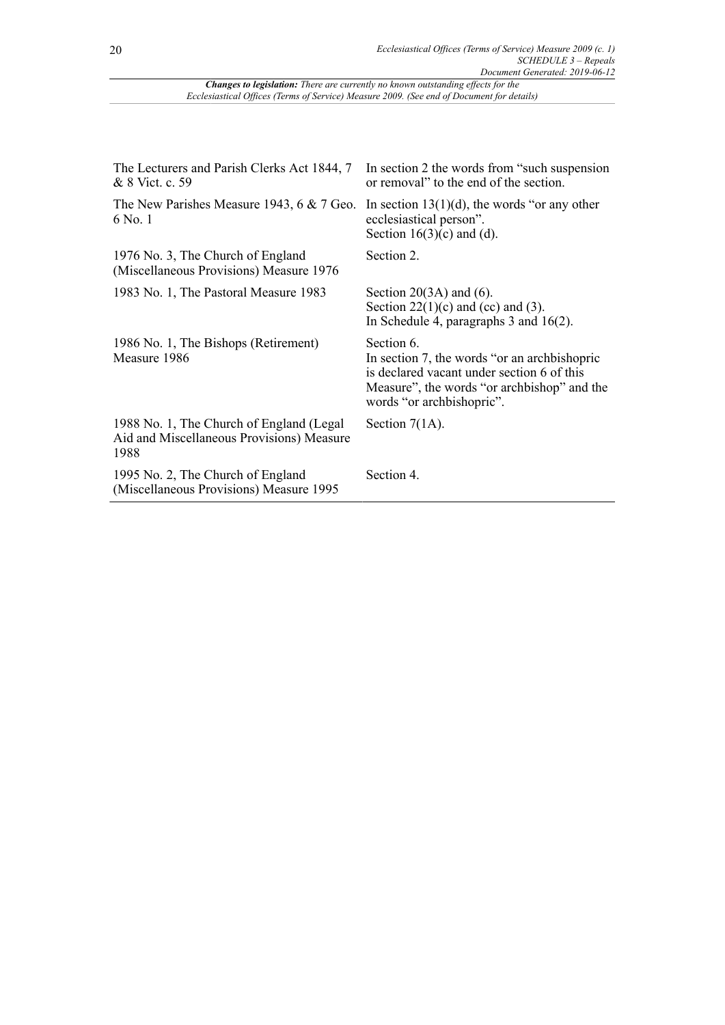| The Lecturers and Parish Clerks Act 1844, 7<br>& 8 Vict. c. 59                                 | In section 2 the words from "such suspension"<br>or removal" to the end of the section.                                                                                              |
|------------------------------------------------------------------------------------------------|--------------------------------------------------------------------------------------------------------------------------------------------------------------------------------------|
| The New Parishes Measure 1943, 6 $& 7$ Geo.<br>6 No. 1                                         | In section $13(1)(d)$ , the words "or any other<br>ecclesiastical person".<br>Section $16(3)(c)$ and (d).                                                                            |
| 1976 No. 3, The Church of England<br>(Miscellaneous Provisions) Measure 1976                   | Section 2.                                                                                                                                                                           |
| 1983 No. 1, The Pastoral Measure 1983                                                          | Section $20(3A)$ and (6).<br>Section $22(1)(c)$ and $(cc)$ and $(3)$ .<br>In Schedule 4, paragraphs $3$ and $16(2)$ .                                                                |
| 1986 No. 1, The Bishops (Retirement)<br>Measure 1986                                           | Section 6.<br>In section 7, the words "or an archbishopric<br>is declared vacant under section 6 of this<br>Measure", the words "or archbishop" and the<br>words "or archbishopric". |
| 1988 No. 1, The Church of England (Legal)<br>Aid and Miscellaneous Provisions) Measure<br>1988 | Section $7(1A)$ .                                                                                                                                                                    |
| 1995 No. 2, The Church of England<br>(Miscellaneous Provisions) Measure 1995                   | Section 4.                                                                                                                                                                           |